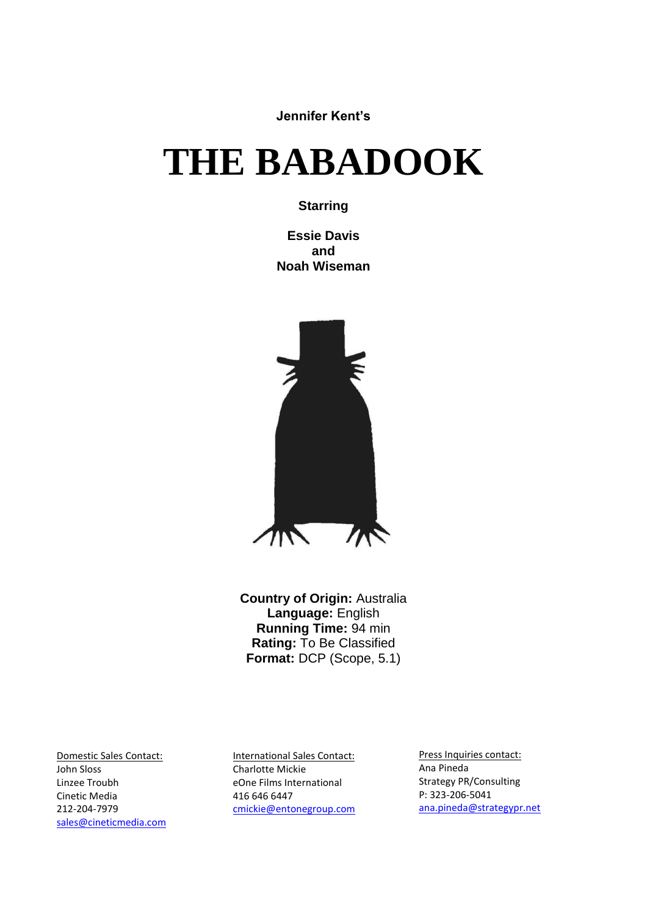**Jennifer Kent's**

# **THE BABADOOK**

#### **Starring**

**Essie Davis and Noah Wiseman**



**Country of Origin:** Australia **Language:** English **Running Time:** 94 min **Rating:** To Be Classified **Format:** DCP (Scope, 5.1)

Domestic Sales Contact: John Sloss Linzee Troubh Cinetic Media 212-204-7979 [sales@cineticmedia.com](mailto:sales@cineticmedia.com) International Sales Contact: Charlotte Mickie eOne Films International 416 646 6447 [cmickie@entonegroup.com](mailto:cmickie@entonegroup.com)

Press Inquiries contact: Ana Pineda Strategy PR/Consulting P: 323-206-5041 [ana.pineda@strategypr.net](mailto:ana.pineda@strategypr.net)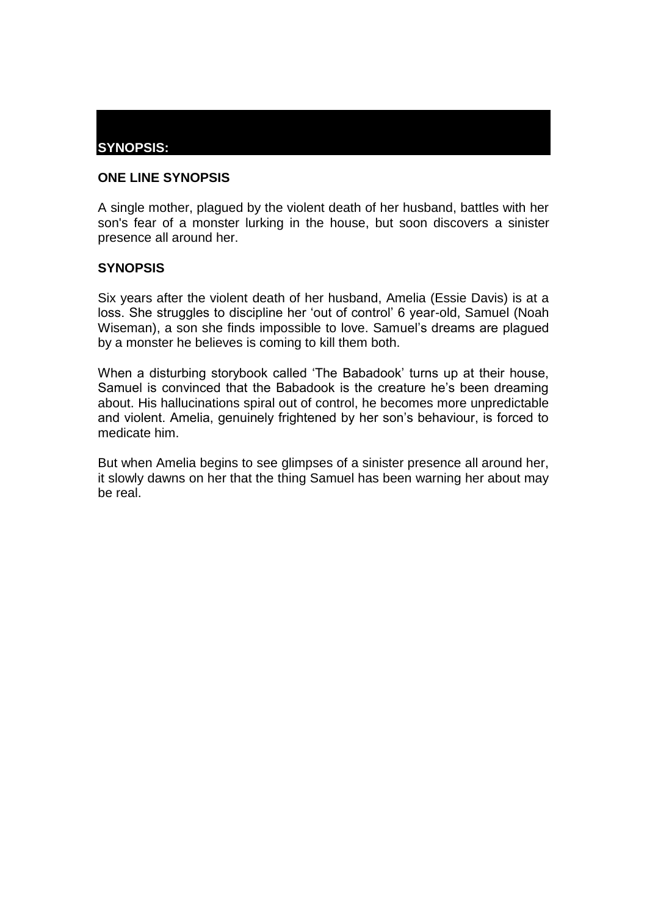# **SYNOPSIS:**

## **ONE LINE SYNOPSIS**

A single mother, plagued by the violent death of her husband, battles with her son's fear of a monster lurking in the house, but soon discovers a sinister presence all around her.

#### **SYNOPSIS**

Six years after the violent death of her husband, Amelia (Essie Davis) is at a loss. She struggles to discipline her 'out of control' 6 year-old, Samuel (Noah Wiseman), a son she finds impossible to love. Samuel's dreams are plagued by a monster he believes is coming to kill them both.

When a disturbing storybook called 'The Babadook' turns up at their house, Samuel is convinced that the Babadook is the creature he's been dreaming about. His hallucinations spiral out of control, he becomes more unpredictable and violent. Amelia, genuinely frightened by her son's behaviour, is forced to medicate him.

But when Amelia begins to see glimpses of a sinister presence all around her, it slowly dawns on her that the thing Samuel has been warning her about may be real.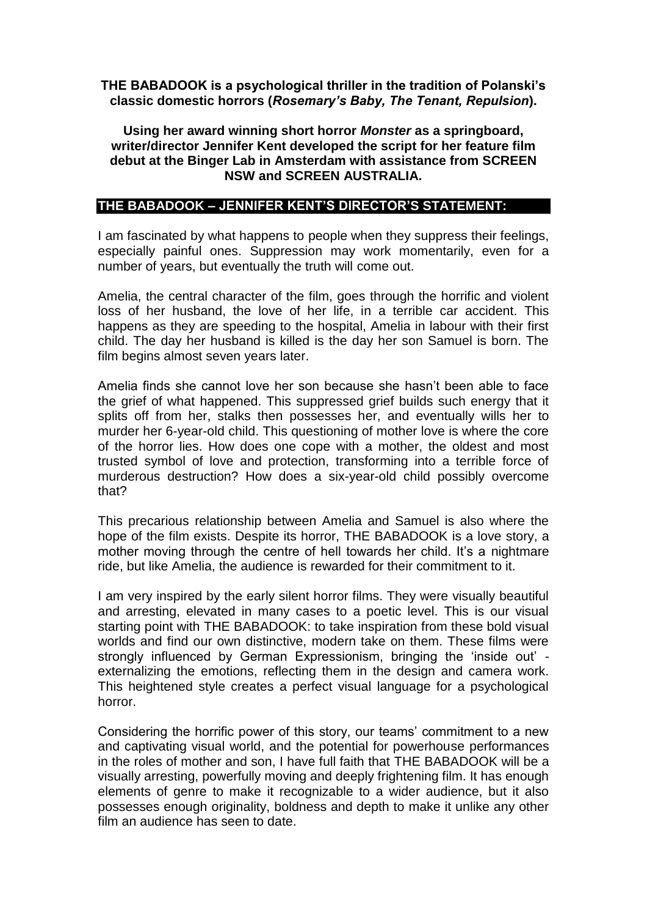## **THE BABADOOK is a psychological thriller in the tradition of Polanski's classic domestic horrors (***Rosemary's Baby, The Tenant, Repulsion***).**

#### **Using her award winning short horror** *Monster* **as a springboard, writer/director Jennifer Kent developed the script for her feature film debut at the Binger Lab in Amsterdam with assistance from SCREEN NSW and SCREEN AUSTRALIA.**

#### **THE BABADOOK – JENNIFER KENT'S DIRECTOR'S STATEMENT:**

I am fascinated by what happens to people when they suppress their feelings, especially painful ones. Suppression may work momentarily, even for a number of years, but eventually the truth will come out.

Amelia, the central character of the film, goes through the horrific and violent loss of her husband, the love of her life, in a terrible car accident. This happens as they are speeding to the hospital, Amelia in labour with their first child. The day her husband is killed is the day her son Samuel is born. The film begins almost seven years later.

Amelia finds she cannot love her son because she hasn't been able to face the grief of what happened. This suppressed grief builds such energy that it splits off from her, stalks then possesses her, and eventually wills her to murder her 6-year-old child. This questioning of mother love is where the core of the horror lies. How does one cope with a mother, the oldest and most trusted symbol of love and protection, transforming into a terrible force of murderous destruction? How does a six-year-old child possibly overcome that?

This precarious relationship between Amelia and Samuel is also where the hope of the film exists. Despite its horror, THE BABADOOK is a love story, a mother moving through the centre of hell towards her child. It's a nightmare ride, but like Amelia, the audience is rewarded for their commitment to it.

I am very inspired by the early silent horror films. They were visually beautiful and arresting, elevated in many cases to a poetic level. This is our visual starting point with THE BABADOOK: to take inspiration from these bold visual worlds and find our own distinctive, modern take on them. These films were strongly influenced by German Expressionism, bringing the 'inside out' externalizing the emotions, reflecting them in the design and camera work. This heightened style creates a perfect visual language for a psychological horror.

Considering the horrific power of this story, our teams' commitment to a new and captivating visual world, and the potential for powerhouse performances in the roles of mother and son, I have full faith that THE BABADOOK will be a visually arresting, powerfully moving and deeply frightening film. It has enough elements of genre to make it recognizable to a wider audience, but it also possesses enough originality, boldness and depth to make it unlike any other film an audience has seen to date.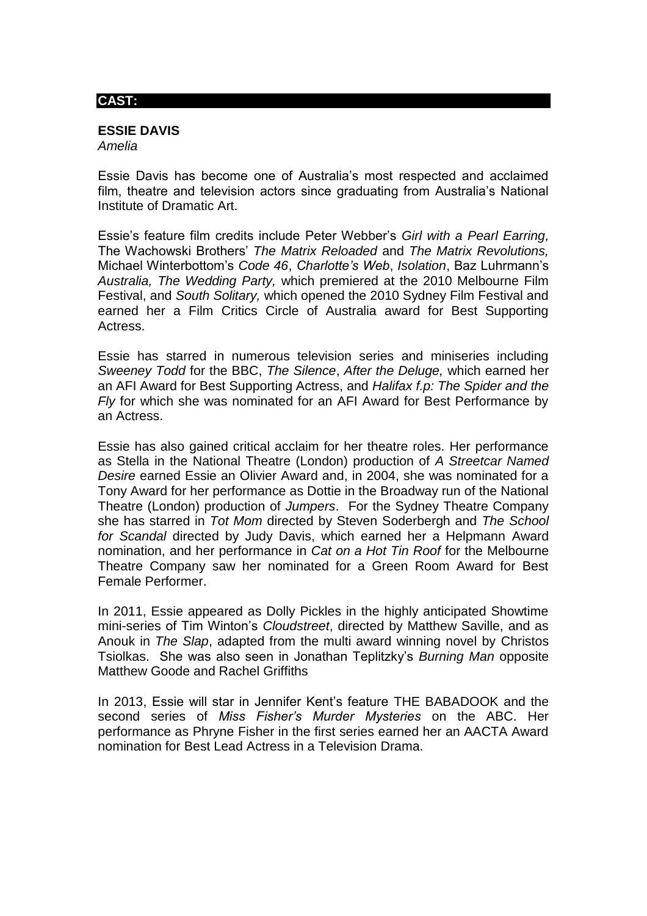#### **CAST:**

#### **ESSIE DAVIS**

*Amelia*

Essie Davis has become one of Australia's most respected and acclaimed film, theatre and television actors since graduating from Australia's National Institute of Dramatic Art.

Essie's feature film credits include Peter Webber's *Girl with a Pearl Earring,*  The Wachowski Brothers' *The Matrix Reloaded* and *The Matrix Revolutions,*  Michael Winterbottom's *Code 46*, *Charlotte's Web*, *Isolation*, Baz Luhrmann's *Australia, The Wedding Party,* which premiered at the 2010 Melbourne Film Festival, and *South Solitary,* which opened the 2010 Sydney Film Festival and earned her a Film Critics Circle of Australia award for Best Supporting Actress.

Essie has starred in numerous television series and miniseries including *Sweeney Todd* for the BBC, *The Silence*, *After the Deluge,* which earned her an AFI Award for Best Supporting Actress, and *Halifax f.p: The Spider and the Fly* for which she was nominated for an AFI Award for Best Performance by an Actress.

Essie has also gained critical acclaim for her theatre roles. Her performance as Stella in the National Theatre (London) production of *A Streetcar Named Desire* earned Essie an Olivier Award and, in 2004, she was nominated for a Tony Award for her performance as Dottie in the Broadway run of the National Theatre (London) production of *Jumpers*. For the Sydney Theatre Company she has starred in *Tot Mom* directed by Steven Soderbergh and *The School for Scandal* directed by Judy Davis, which earned her a Helpmann Award nomination, and her performance in *Cat on a Hot Tin Roof* for the Melbourne Theatre Company saw her nominated for a Green Room Award for Best Female Performer.

In 2011, Essie appeared as Dolly Pickles in the highly anticipated Showtime mini-series of Tim Winton's *Cloudstreet*, directed by Matthew Saville, and as Anouk in *The Slap*, adapted from the multi award winning novel by Christos Tsiolkas. She was also seen in Jonathan Teplitzky's *Burning Man* opposite Matthew Goode and Rachel Griffiths

In 2013, Essie will star in Jennifer Kent's feature THE BABADOOK and the second series of *Miss Fisher's Murder Mysteries* on the ABC. Her performance as Phryne Fisher in the first series earned her an AACTA Award nomination for Best Lead Actress in a Television Drama.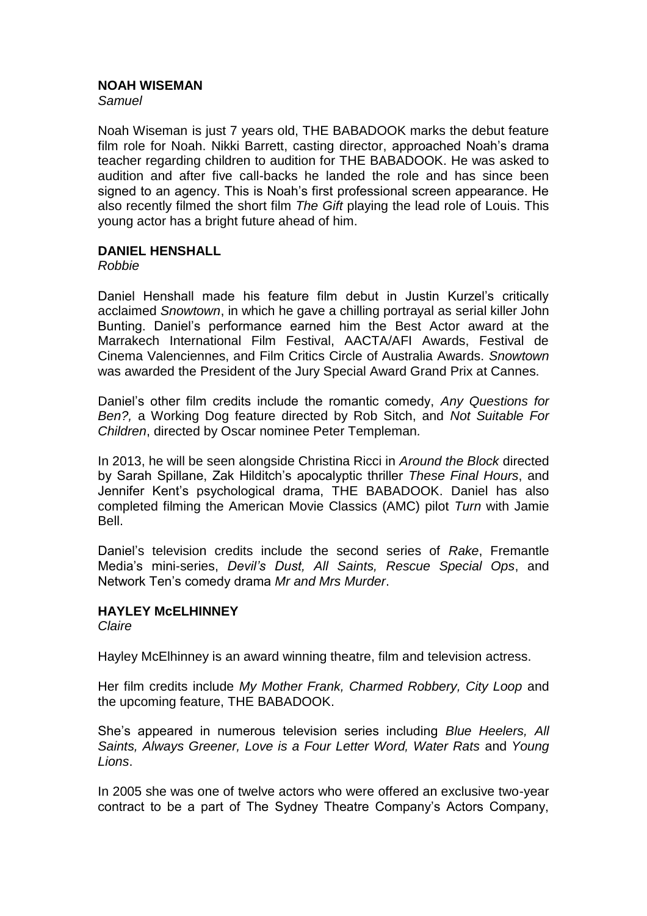#### **NOAH WISEMAN**

*Samuel*

Noah Wiseman is just 7 years old, THE BABADOOK marks the debut feature film role for Noah. Nikki Barrett, casting director, approached Noah's drama teacher regarding children to audition for THE BABADOOK. He was asked to audition and after five call-backs he landed the role and has since been signed to an agency. This is Noah's first professional screen appearance. He also recently filmed the short film *The Gift* playing the lead role of Louis. This young actor has a bright future ahead of him.

#### **DANIEL HENSHALL**

*Robbie*

Daniel Henshall made his feature film debut in Justin Kurzel's critically acclaimed *Snowtown*, in which he gave a chilling portrayal as serial killer John Bunting. Daniel's performance earned him the Best Actor award at the Marrakech International Film Festival, AACTA/AFI Awards, Festival de Cinema Valenciennes, and Film Critics Circle of Australia Awards. *Snowtown* was awarded the President of the Jury Special Award Grand Prix at Cannes.

Daniel's other film credits include the romantic comedy, *Any Questions for Ben?,* a Working Dog feature directed by Rob Sitch, and *Not Suitable For Children*, directed by Oscar nominee Peter Templeman*.* 

In 2013, he will be seen alongside Christina Ricci in *Around the Block* directed by Sarah Spillane, Zak Hilditch's apocalyptic thriller *These Final Hours*, and Jennifer Kent's psychological drama, THE BABADOOK. Daniel has also completed filming the American Movie Classics (AMC) pilot *Turn* with Jamie Bell.

Daniel's television credits include the second series of *Rake*, Fremantle Media's mini-series, *Devil's Dust, All Saints, Rescue Special Ops*, and Network Ten's comedy drama *Mr and Mrs Murder*.

## **HAYLEY McELHINNEY**

*Claire*

Hayley McElhinney is an award winning theatre, film and television actress.

Her film credits include *My Mother Frank, Charmed Robbery, City Loop* and the upcoming feature, THE BABADOOK.

She's appeared in numerous television series including *Blue Heelers, All Saints, Always Greener, Love is a Four Letter Word, Water Rats* and *Young Lions*.

In 2005 she was one of twelve actors who were offered an exclusive two-year contract to be a part of The Sydney Theatre Company's Actors Company,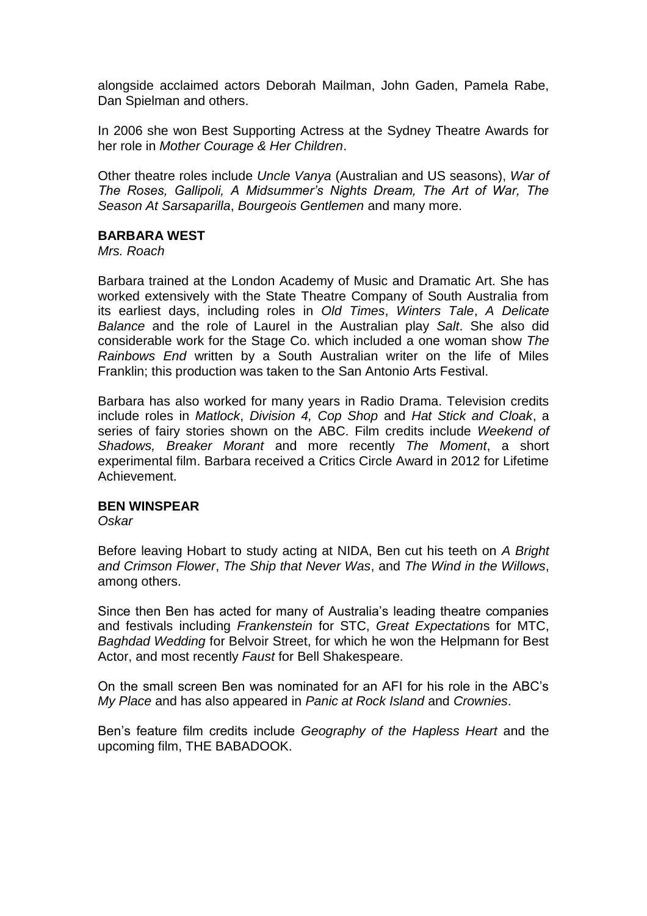alongside acclaimed actors Deborah Mailman, John Gaden, Pamela Rabe, Dan Spielman and others.

In 2006 she won Best Supporting Actress at the Sydney Theatre Awards for her role in *Mother Courage & Her Children*.

Other theatre roles include *Uncle Vanya* (Australian and US seasons), *War of The Roses, Gallipoli, A Midsummer's Nights Dream, The Art of War, The Season At Sarsaparilla*, *Bourgeois Gentlemen* and many more.

#### **BARBARA WEST**

*Mrs. Roach*

Barbara trained at the London Academy of Music and Dramatic Art. She has worked extensively with the State Theatre Company of South Australia from its earliest days, including roles in *Old Times*, *Winters Tale*, *A Delicate Balance* and the role of Laurel in the Australian play *Salt*. She also did considerable work for the Stage Co. which included a one woman show *The Rainbows End* written by a South Australian writer on the life of Miles Franklin; this production was taken to the San Antonio Arts Festival.

Barbara has also worked for many years in Radio Drama. Television credits include roles in *Matlock*, *Division 4, Cop Shop* and *Hat Stick and Cloak*, a series of fairy stories shown on the ABC. Film credits include *Weekend of Shadows, Breaker Morant* and more recently *The Moment*, a short experimental film. Barbara received a Critics Circle Award in 2012 for Lifetime Achievement.

## **BEN WINSPEAR**

*Oskar*

Before leaving Hobart to study acting at NIDA, Ben cut his teeth on *A Bright and Crimson Flower*, *The Ship that Never Was*, and *The Wind in the Willows*, among others.

Since then Ben has acted for many of Australia's leading theatre companies and festivals including *Frankenstein* for STC, *Great Expectation*s for MTC, *Baghdad Wedding* for Belvoir Street, for which he won the Helpmann for Best Actor, and most recently *Faust* for Bell Shakespeare.

On the small screen Ben was nominated for an AFI for his role in the ABC's *My Place* and has also appeared in *Panic at Rock Island* and *Crownies*.

Ben's feature film credits include *Geography of the Hapless Heart* and the upcoming film, THE BABADOOK.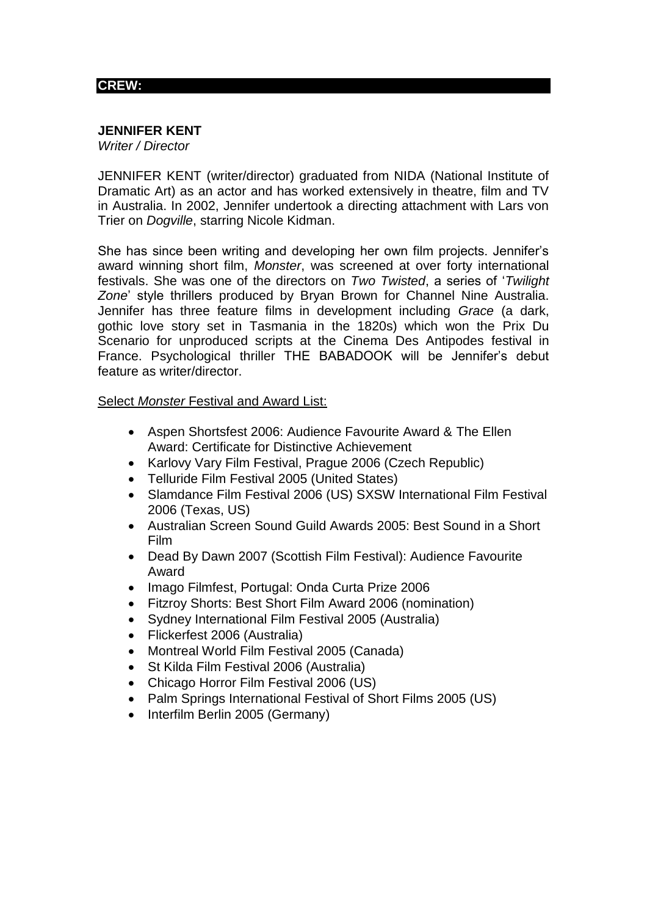## **CREW:**

# **JENNIFER KENT**

*Writer / Director*

JENNIFER KENT (writer/director) graduated from NIDA (National Institute of Dramatic Art) as an actor and has worked extensively in theatre, film and TV in Australia. In 2002, Jennifer undertook a directing attachment with Lars von Trier on *Dogville*, starring Nicole Kidman.

She has since been writing and developing her own film projects. Jennifer's award winning short film, *Monster*, was screened at over forty international festivals. She was one of the directors on *Two Twisted*, a series of '*Twilight Zone*' style thrillers produced by Bryan Brown for Channel Nine Australia. Jennifer has three feature films in development including *Grace* (a dark, gothic love story set in Tasmania in the 1820s) which won the Prix Du Scenario for unproduced scripts at the Cinema Des Antipodes festival in France. Psychological thriller THE BABADOOK will be Jennifer's debut feature as writer/director.

#### Select *Monster* Festival and Award List:

- Aspen Shortsfest 2006: Audience Favourite Award & The Ellen Award: Certificate for Distinctive Achievement
- Karlovy Vary Film Festival, Prague 2006 (Czech Republic)
- Telluride Film Festival 2005 (United States)
- Slamdance Film Festival 2006 (US) SXSW International Film Festival 2006 (Texas, US)
- Australian Screen Sound Guild Awards 2005: Best Sound in a Short Film
- Dead By Dawn 2007 (Scottish Film Festival): Audience Favourite Award
- Imago Filmfest, Portugal: Onda Curta Prize 2006
- Fitzroy Shorts: Best Short Film Award 2006 (nomination)
- Sydney International Film Festival 2005 (Australia)
- Flickerfest 2006 (Australia)
- Montreal World Film Festival 2005 (Canada)
- St Kilda Film Festival 2006 (Australia)
- Chicago Horror Film Festival 2006 (US)
- Palm Springs International Festival of Short Films 2005 (US)
- Interfilm Berlin 2005 (Germany)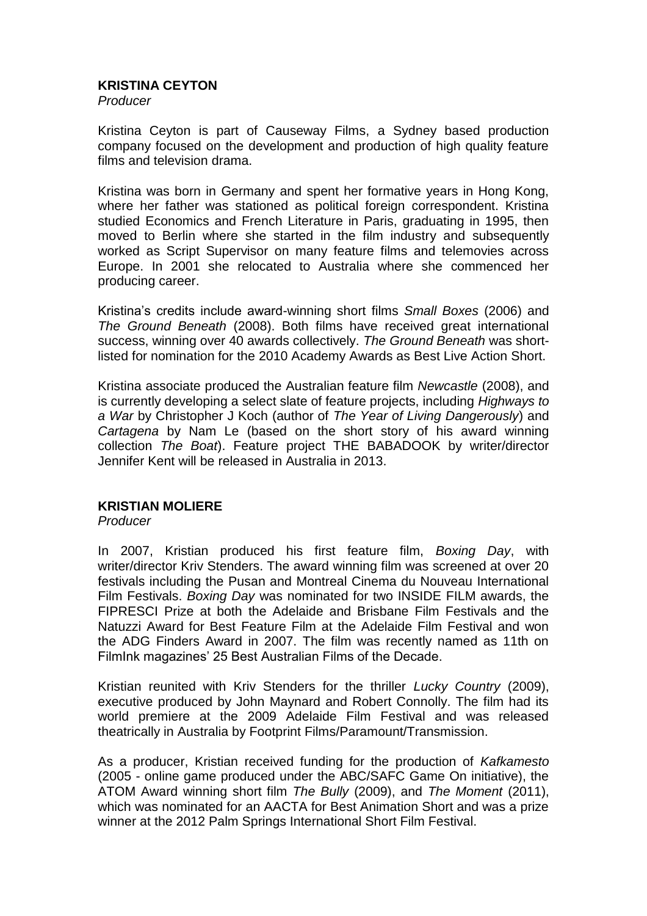## **KRISTINA CEYTON**

*Producer*

Kristina Ceyton is part of Causeway Films, a Sydney based production company focused on the development and production of high quality feature films and television drama.

Kristina was born in Germany and spent her formative years in Hong Kong, where her father was stationed as political foreign correspondent. Kristina studied Economics and French Literature in Paris, graduating in 1995, then moved to Berlin where she started in the film industry and subsequently worked as Script Supervisor on many feature films and telemovies across Europe. In 2001 she relocated to Australia where she commenced her producing career.

Kristina's credits include award-winning short films *Small Boxes* (2006) and *The Ground Beneath* (2008). Both films have received great international success, winning over 40 awards collectively. *The Ground Beneath* was shortlisted for nomination for the 2010 Academy Awards as Best Live Action Short.

Kristina associate produced the Australian feature film *Newcastle* (2008), and is currently developing a select slate of feature projects, including *Highways to a War* by Christopher J Koch (author of *The Year of Living Dangerously*) and *Cartagena* by Nam Le (based on the short story of his award winning collection *The Boat*). Feature project THE BABADOOK by writer/director Jennifer Kent will be released in Australia in 2013.

## **KRISTIAN MOLIERE**

*Producer*

In 2007, Kristian produced his first feature film, *Boxing Day*, with writer/director Kriv Stenders. The award winning film was screened at over 20 festivals including the Pusan and Montreal Cinema du Nouveau International Film Festivals. *Boxing Day* was nominated for two INSIDE FILM awards, the FIPRESCI Prize at both the Adelaide and Brisbane Film Festivals and the Natuzzi Award for Best Feature Film at the Adelaide Film Festival and won the ADG Finders Award in 2007. The film was recently named as 11th on FilmInk magazines' 25 Best Australian Films of the Decade.

Kristian reunited with Kriv Stenders for the thriller *Lucky Country* (2009), executive produced by John Maynard and Robert Connolly. The film had its world premiere at the 2009 Adelaide Film Festival and was released theatrically in Australia by Footprint Films/Paramount/Transmission.

As a producer, Kristian received funding for the production of *Kafkamesto*  (2005 - online game produced under the ABC/SAFC Game On initiative), the ATOM Award winning short film *The Bully* (2009), and *The Moment* (2011), which was nominated for an AACTA for Best Animation Short and was a prize winner at the 2012 Palm Springs International Short Film Festival.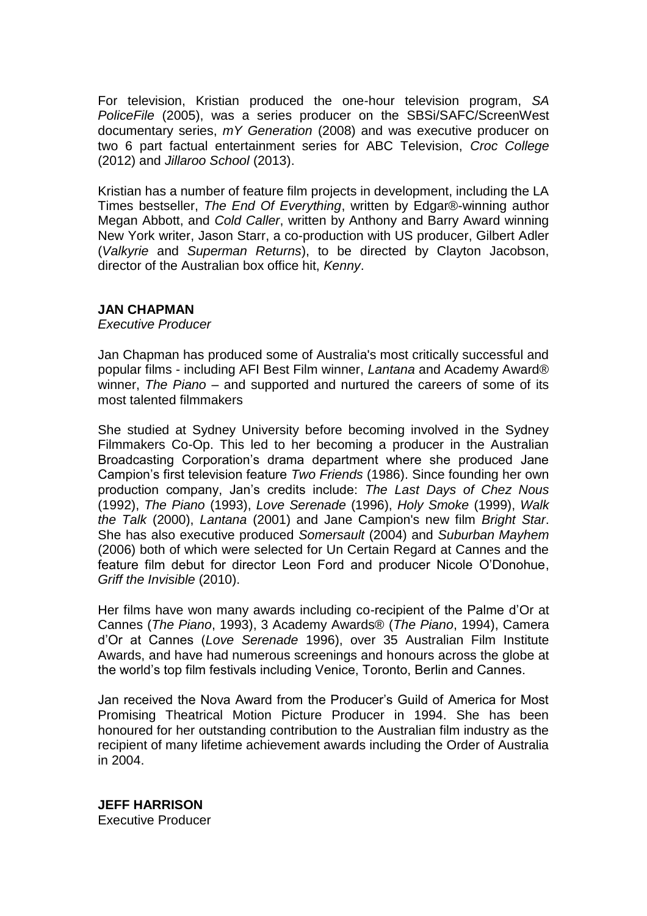For television, Kristian produced the one-hour television program, *SA PoliceFile* (2005), was a series producer on the SBSi/SAFC/ScreenWest documentary series, *mY Generation* (2008) and was executive producer on two 6 part factual entertainment series for ABC Television, *Croc College* (2012) and *Jillaroo School* (2013).

Kristian has a number of feature film projects in development, including the LA Times bestseller, *The End Of Everything*, written by Edgar®-winning author Megan Abbott, and *Cold Caller*, written by Anthony and Barry Award winning New York writer, Jason Starr, a co-production with US producer, Gilbert Adler (*Valkyrie* and *Superman Returns*), to be directed by Clayton Jacobson, director of the Australian box office hit, *Kenny*.

#### **JAN CHAPMAN**

*Executive Producer*

Jan Chapman has produced some of Australia's most critically successful and popular films - including AFI Best Film winner, *Lantana* and Academy Award® winner, *The Piano* – and supported and nurtured the careers of some of its most talented filmmakers

She studied at Sydney University before becoming involved in the Sydney Filmmakers Co-Op. This led to her becoming a producer in the Australian Broadcasting Corporation's drama department where she produced Jane Campion's first television feature *Two Friends* (1986). Since founding her own production company, Jan's credits include: *The Last Days of Chez Nous*  (1992), *The Piano* (1993), *Love Serenade* (1996), *Holy Smoke* (1999), *Walk the Talk* (2000), *Lantana* (2001) and Jane Campion's new film *Bright Star*. She has also executive produced *Somersault* (2004) and *Suburban Mayhem*  (2006) both of which were selected for Un Certain Regard at Cannes and the feature film debut for director Leon Ford and producer Nicole O'Donohue, *Griff the Invisible* (2010).

Her films have won many awards including co-recipient of the Palme d'Or at Cannes (*The Piano*, 1993), 3 Academy Awards® (*The Piano*, 1994), Camera d'Or at Cannes (*Love Serenade* 1996), over 35 Australian Film Institute Awards, and have had numerous screenings and honours across the globe at the world's top film festivals including Venice, Toronto, Berlin and Cannes.

Jan received the Nova Award from the Producer's Guild of America for Most Promising Theatrical Motion Picture Producer in 1994. She has been honoured for her outstanding contribution to the Australian film industry as the recipient of many lifetime achievement awards including the Order of Australia in 2004.

**JEFF HARRISON** Executive Producer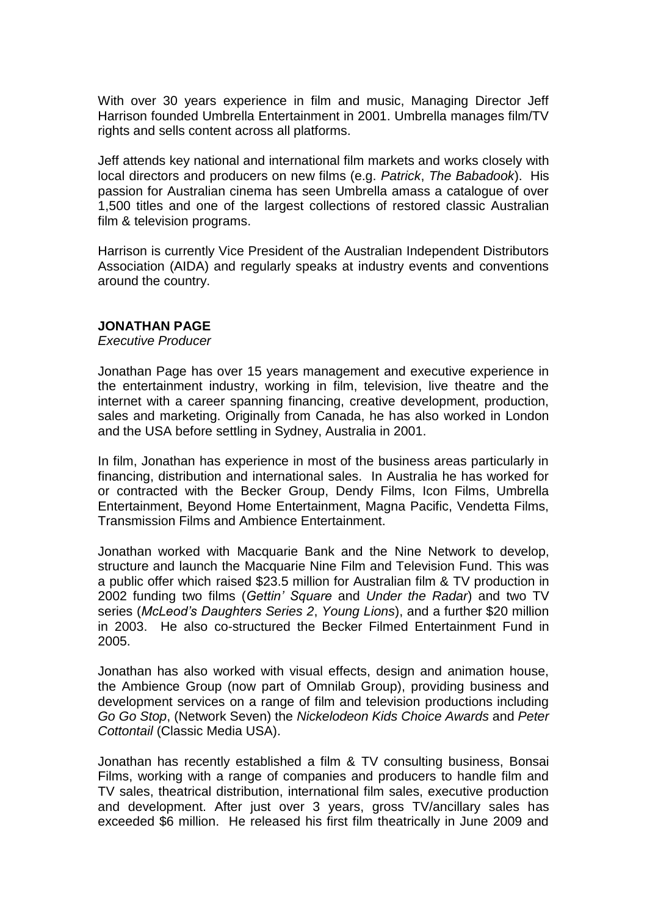With over 30 years experience in film and music, Managing Director Jeff Harrison founded Umbrella Entertainment in 2001. Umbrella manages film/TV rights and sells content across all platforms.

Jeff attends key national and international film markets and works closely with local directors and producers on new films (e.g. *Patrick*, *The Babadook*). His passion for Australian cinema has seen Umbrella amass a catalogue of over 1,500 titles and one of the largest collections of restored classic Australian film & television programs.

Harrison is currently Vice President of the Australian Independent Distributors Association (AIDA) and regularly speaks at industry events and conventions around the country.

#### **JONATHAN PAGE**

*Executive Producer*

Jonathan Page has over 15 years management and executive experience in the entertainment industry, working in film, television, live theatre and the internet with a career spanning financing, creative development, production, sales and marketing. Originally from Canada, he has also worked in London and the USA before settling in Sydney, Australia in 2001.

In film, Jonathan has experience in most of the business areas particularly in financing, distribution and international sales. In Australia he has worked for or contracted with the Becker Group, Dendy Films, Icon Films, Umbrella Entertainment, Beyond Home Entertainment, Magna Pacific, Vendetta Films, Transmission Films and Ambience Entertainment.

Jonathan worked with Macquarie Bank and the Nine Network to develop, structure and launch the Macquarie Nine Film and Television Fund. This was a public offer which raised \$23.5 million for Australian film & TV production in 2002 funding two films (*Gettin' Square* and *Under the Radar*) and two TV series (*McLeod's Daughters Series 2*, *Young Lions*), and a further \$20 million in 2003. He also co-structured the Becker Filmed Entertainment Fund in 2005.

Jonathan has also worked with visual effects, design and animation house, the Ambience Group (now part of Omnilab Group), providing business and development services on a range of film and television productions including *Go Go Stop*, (Network Seven) the *Nickelodeon Kids Choice Awards* and *Peter Cottontail* (Classic Media USA).

Jonathan has recently established a film & TV consulting business, Bonsai Films, working with a range of companies and producers to handle film and TV sales, theatrical distribution, international film sales, executive production and development. After just over 3 years, gross TV/ancillary sales has exceeded \$6 million. He released his first film theatrically in June 2009 and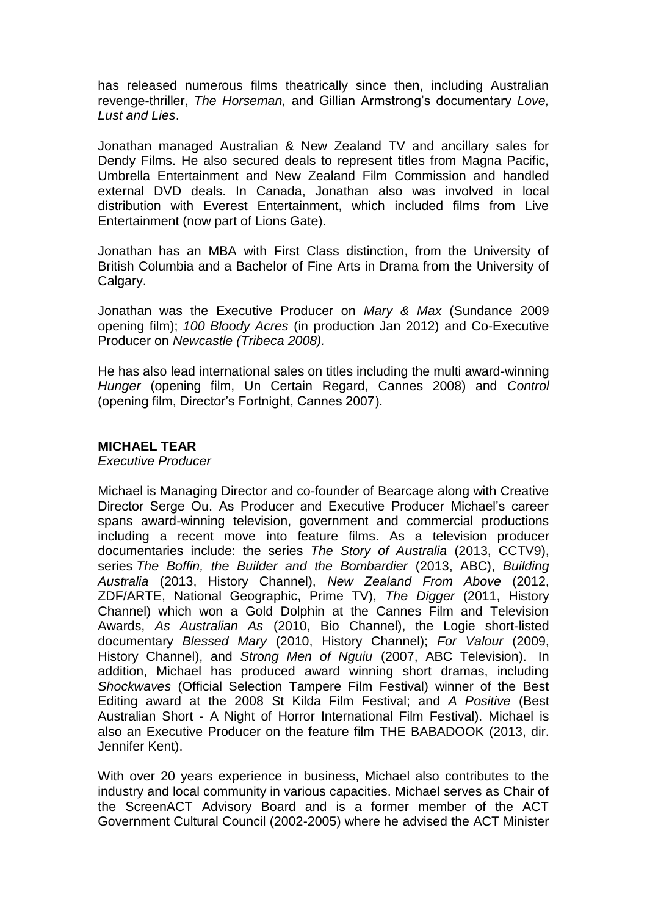has released numerous films theatrically since then, including Australian revenge-thriller, *The Horseman,* and Gillian Armstrong's documentary *Love, Lust and Lies*.

Jonathan managed Australian & New Zealand TV and ancillary sales for Dendy Films. He also secured deals to represent titles from Magna Pacific, Umbrella Entertainment and New Zealand Film Commission and handled external DVD deals. In Canada, Jonathan also was involved in local distribution with Everest Entertainment, which included films from Live Entertainment (now part of Lions Gate).

Jonathan has an MBA with First Class distinction, from the University of British Columbia and a Bachelor of Fine Arts in Drama from the University of Calgary.

Jonathan was the Executive Producer on *Mary & Max* (Sundance 2009 opening film); *100 Bloody Acres* (in production Jan 2012) and Co-Executive Producer on *Newcastle (Tribeca 2008).*

He has also lead international sales on titles including the multi award-winning *Hunger* (opening film, Un Certain Regard, Cannes 2008) and *Control* (opening film, Director's Fortnight, Cannes 2007).

#### **MICHAEL TEAR**

*Executive Producer*

Michael is Managing Director and co-founder of Bearcage along with Creative Director Serge Ou. As Producer and Executive Producer Michael's career spans award-winning television, government and commercial productions including a recent move into feature films. As a television producer documentaries include: the series *The Story of Australia* (2013, CCTV9), series *The Boffin, the Builder and the Bombardier* (2013, ABC), *Building Australia* (2013, History Channel), *New Zealand From Above* (2012, ZDF/ARTE, National Geographic, Prime TV), *The Digger* (2011, History Channel) which won a Gold Dolphin at the Cannes Film and Television Awards, *As Australian As* (2010, Bio Channel), the Logie short-listed documentary *Blessed Mary* (2010, History Channel); *For Valour* (2009, History Channel), and *Strong Men of Nguiu* (2007, ABC Television). In addition, Michael has produced award winning short dramas, including *Shockwaves* (Official Selection Tampere Film Festival) winner of the Best Editing award at the 2008 St Kilda Film Festival; and *A Positive* (Best Australian Short - A Night of Horror International Film Festival). Michael is also an Executive Producer on the feature film THE BABADOOK (2013, dir. Jennifer Kent).

With over 20 years experience in business, Michael also contributes to the industry and local community in various capacities. Michael serves as Chair of the ScreenACT Advisory Board and is a former member of the ACT Government Cultural Council (2002-2005) where he advised the ACT Minister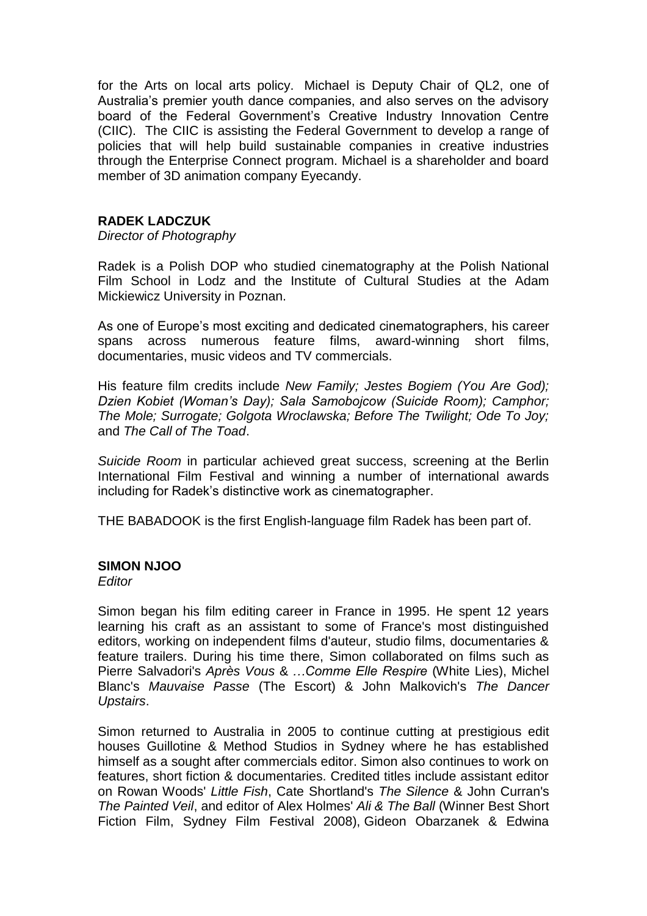for the Arts on local arts policy. Michael is Deputy Chair of QL2, one of Australia's premier youth dance companies, and also serves on the advisory board of the Federal Government's Creative Industry Innovation Centre (CIIC). The CIIC is assisting the Federal Government to develop a range of policies that will help build sustainable companies in creative industries through the Enterprise Connect program. Michael is a shareholder and board member of 3D animation company Eyecandy.

## **RADEK LADCZUK**

*Director of Photography*

Radek is a Polish DOP who studied cinematography at the Polish National Film School in Lodz and the Institute of Cultural Studies at the Adam Mickiewicz University in Poznan.

As one of Europe's most exciting and dedicated cinematographers, his career spans across numerous feature films, award-winning short films, documentaries, music videos and TV commercials.

His feature film credits include *New Family; Jestes Bogiem (You Are God); Dzien Kobiet (Woman's Day); Sala Samobojcow (Suicide Room); Camphor; The Mole; Surrogate; Golgota Wroclawska; Before The Twilight; Ode To Joy;*  and *The Call of The Toad*.

*Suicide Room* in particular achieved great success, screening at the Berlin International Film Festival and winning a number of international awards including for Radek's distinctive work as cinematographer.

THE BABADOOK is the first English-language film Radek has been part of.

## **SIMON NJOO**

*Editor*

Simon began his film editing career in France in 1995. He spent 12 years learning his craft as an assistant to some of France's most distinguished editors, working on independent films d'auteur, studio films, documentaries & feature trailers. During his time there, Simon collaborated on films such as Pierre Salvadori's *Après Vous* & *…Comme Elle Respire* (White Lies), Michel Blanc's *Mauvaise Passe* (The Escort) & John Malkovich's *The Dancer Upstairs*.

Simon returned to Australia in 2005 to continue cutting at prestigious edit houses Guillotine & Method Studios in Sydney where he has established himself as a sought after commercials editor. Simon also continues to work on features, short fiction & documentaries. Credited titles include assistant editor on Rowan Woods' *Little Fish*, Cate Shortland's *The Silence* & John Curran's *The Painted Veil*, and editor of Alex Holmes' *Ali & The Ball* (Winner Best Short Fiction Film, Sydney Film Festival 2008), Gideon Obarzanek & Edwina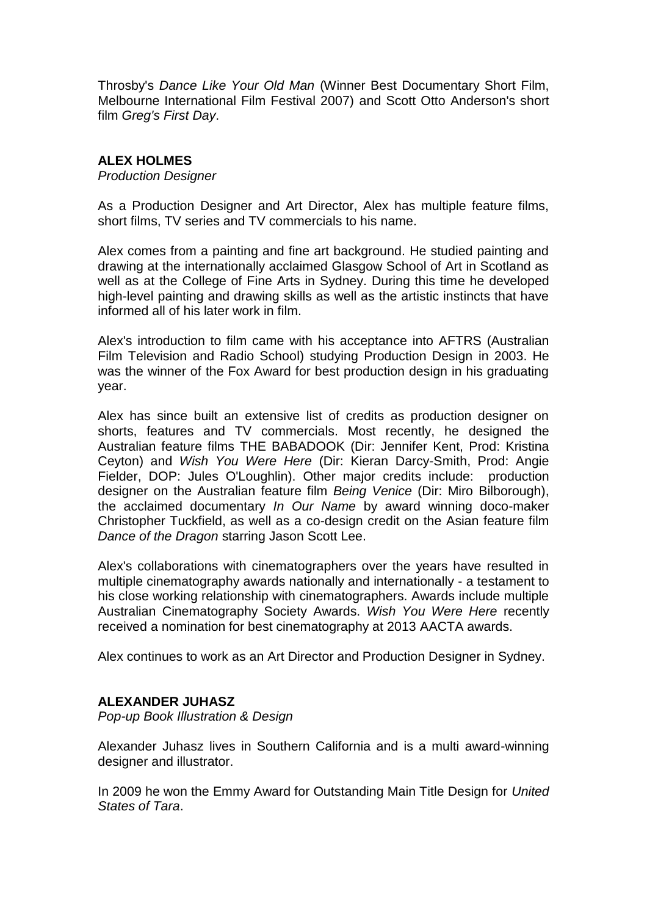Throsby's *Dance Like Your Old Man* (Winner Best Documentary Short Film, Melbourne International Film Festival 2007) and Scott Otto Anderson's short film *Greg's First Day*.

## **ALEX HOLMES**

*Production Designer*

As a Production Designer and Art Director, Alex has multiple feature films, short films, TV series and TV commercials to his name.

Alex comes from a painting and fine art background. He studied painting and drawing at the internationally acclaimed Glasgow School of Art in Scotland as well as at the College of Fine Arts in Sydney. During this time he developed high-level painting and drawing skills as well as the artistic instincts that have informed all of his later work in film.

Alex's introduction to film came with his acceptance into AFTRS (Australian Film Television and Radio School) studying Production Design in 2003. He was the winner of the Fox Award for best production design in his graduating year.

Alex has since built an extensive list of credits as production designer on shorts, features and TV commercials. Most recently, he designed the Australian feature films THE BABADOOK (Dir: Jennifer Kent, Prod: Kristina Ceyton) and *Wish You Were Here* (Dir: Kieran Darcy-Smith, Prod: Angie Fielder, DOP: Jules O'Loughlin). Other major credits include: production designer on the Australian feature film *Being Venice* (Dir: Miro Bilborough), the acclaimed documentary *In Our Name* by award winning doco-maker Christopher Tuckfield, as well as a co-design credit on the Asian feature film *Dance of the Dragon* starring Jason Scott Lee.

Alex's collaborations with cinematographers over the years have resulted in multiple cinematography awards nationally and internationally - a testament to his close working relationship with cinematographers. Awards include multiple Australian Cinematography Society Awards. *Wish You Were Here* recently received a nomination for best cinematography at 2013 AACTA awards.

Alex continues to work as an Art Director and Production Designer in Sydney.

## **ALEXANDER JUHASZ**

*Pop-up Book Illustration & Design*

Alexander Juhasz lives in Southern California and is a multi award-winning designer and illustrator.

In 2009 he won the Emmy Award for Outstanding Main Title Design for *United States of Tara*.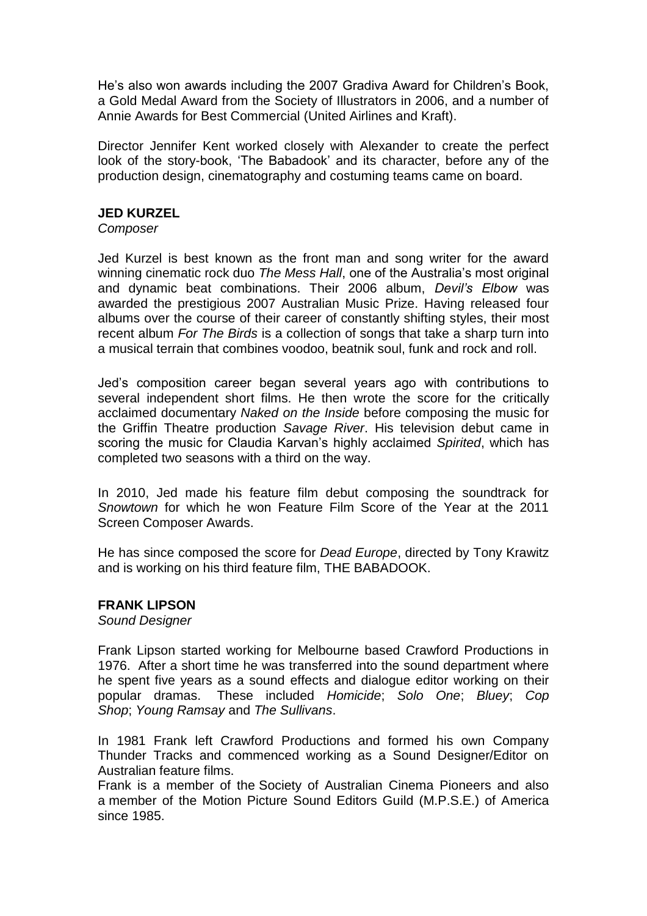He's also won awards including the 2007 Gradiva Award for Children's Book, a Gold Medal Award from the Society of Illustrators in 2006, and a number of Annie Awards for Best Commercial (United Airlines and Kraft).

Director Jennifer Kent worked closely with Alexander to create the perfect look of the story-book, 'The Babadook' and its character, before any of the production design, cinematography and costuming teams came on board.

#### **JED KURZEL**

*Composer*

Jed Kurzel is best known as the front man and song writer for the award winning cinematic rock duo *The Mess Hall*, one of the Australia's most original and dynamic beat combinations. Their 2006 album, *Devil's Elbow* was awarded the prestigious 2007 Australian Music Prize. Having released four albums over the course of their career of constantly shifting styles, their most recent album *For The Birds* is a collection of songs that take a sharp turn into a musical terrain that combines voodoo, beatnik soul, funk and rock and roll.

Jed's composition career began several years ago with contributions to several independent short films. He then wrote the score for the critically acclaimed documentary *Naked on the Inside* before composing the music for the Griffin Theatre production *Savage River*. His television debut came in scoring the music for Claudia Karvan's highly acclaimed *Spirited*, which has completed two seasons with a third on the way.

In 2010, Jed made his feature film debut composing the soundtrack for *Snowtown* for which he won Feature Film Score of the Year at the 2011 Screen Composer Awards.

He has since composed the score for *Dead Europe*, directed by Tony Krawitz and is working on his third feature film, THE BABADOOK.

## **FRANK LIPSON**

*Sound Designer*

Frank Lipson started working for Melbourne based Crawford Productions in 1976. After a short time he was transferred into the sound department where he spent five years as a sound effects and dialogue editor working on their popular dramas. These included *Homicide*; *Solo One*; *Bluey*; *Cop Shop*; *Young Ramsay* and *The Sullivans*.

In 1981 Frank left Crawford Productions and formed his own Company Thunder Tracks and commenced working as a Sound Designer/Editor on Australian feature films.

Frank is a member of the Society of Australian Cinema Pioneers and also a member of the Motion Picture Sound Editors Guild (M.P.S.E.) of America since 1985.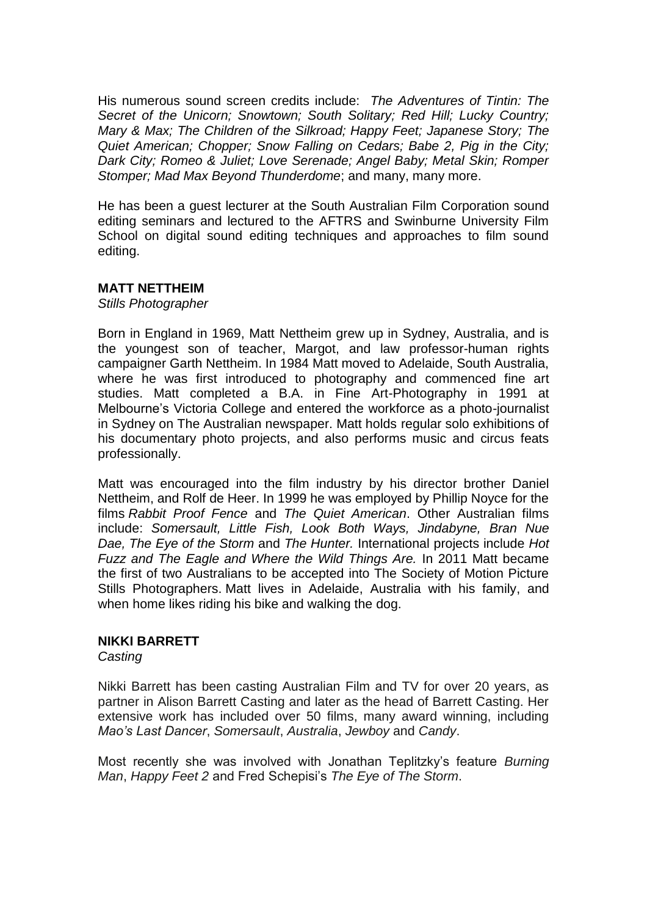His numerous sound screen credits include: *The Adventures of Tintin: The Secret of the Unicorn; Snowtown; South Solitary; Red Hill; Lucky Country; Mary & Max; The Children of the Silkroad; Happy Feet; Japanese Story; The Quiet American; Chopper; Snow Falling on Cedars; Babe 2, Pig in the City; Dark City; Romeo & Juliet; Love Serenade; Angel Baby; Metal Skin; Romper Stomper; Mad Max Beyond Thunderdome*; and many, many more.

He has been a guest lecturer at the South Australian Film Corporation sound editing seminars and lectured to the AFTRS and Swinburne University Film School on digital sound editing techniques and approaches to film sound editing.

#### **MATT NETTHEIM**

*Stills Photographer*

Born in England in 1969, Matt Nettheim grew up in Sydney, Australia, and is the youngest son of teacher, Margot, and law professor-human rights campaigner Garth Nettheim. In 1984 Matt moved to Adelaide, South Australia, where he was first introduced to photography and commenced fine art studies. Matt completed a B.A. in Fine Art-Photography in 1991 at Melbourne's Victoria College and entered the workforce as a photo-journalist in Sydney on The Australian newspaper. Matt holds regular solo exhibitions of his documentary photo projects, and also performs music and circus feats professionally.

Matt was encouraged into the film industry by his director brother Daniel Nettheim, and Rolf de Heer. In 1999 he was employed by Phillip Noyce for the films *Rabbit Proof Fence* and *The Quiet American*. Other Australian films include: *Somersault, Little Fish, Look Both Ways, Jindabyne, Bran Nue Dae, The Eye of the Storm* and *The Hunter.* International projects include *Hot Fuzz and The Eagle and Where the Wild Things Are.* In 2011 Matt became the first of two Australians to be accepted into The Society of Motion Picture Stills Photographers. Matt lives in Adelaide, Australia with his family, and when home likes riding his bike and walking the dog.

## **NIKKI BARRETT**

*Casting*

Nikki Barrett has been casting Australian Film and TV for over 20 years, as partner in Alison Barrett Casting and later as the head of Barrett Casting. Her extensive work has included over 50 films, many award winning, including *Mao's Last Dancer*, *Somersault*, *Australia*, *Jewboy* and *Candy*.

Most recently she was involved with Jonathan Teplitzky's feature *Burning Man*, *Happy Feet 2* and Fred Schepisi's *The Eye of The Storm*.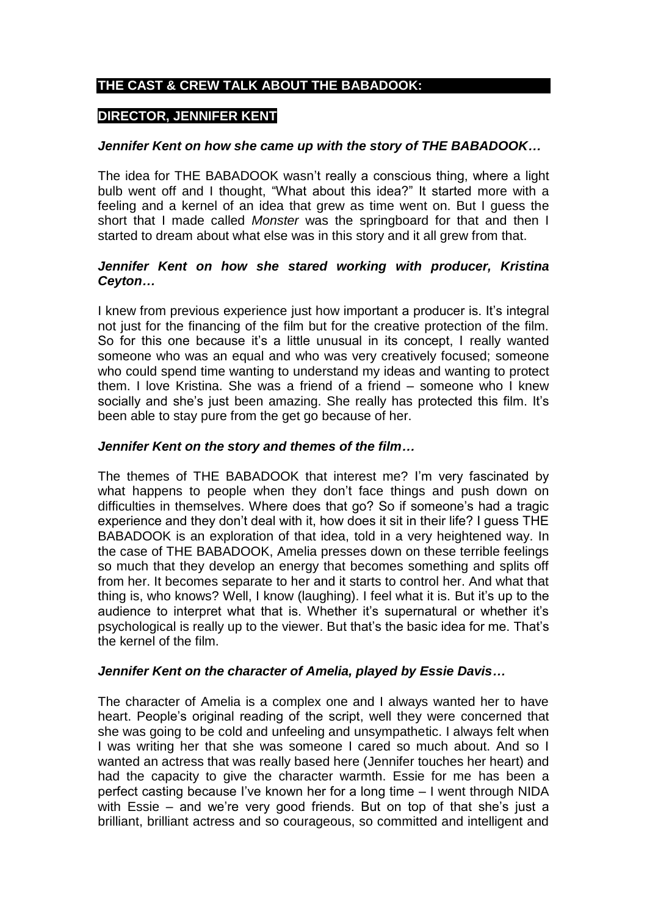# **THE CAST & CREW TALK ABOUT THE BABADOOK:**

# **DIRECTOR, JENNIFER KENT**

## *Jennifer Kent on how she came up with the story of THE BABADOOK…*

The idea for THE BABADOOK wasn't really a conscious thing, where a light bulb went off and I thought, "What about this idea?" It started more with a feeling and a kernel of an idea that grew as time went on. But I guess the short that I made called *Monster* was the springboard for that and then I started to dream about what else was in this story and it all grew from that.

## *Jennifer Kent on how she stared working with producer, Kristina Ceyton…*

I knew from previous experience just how important a producer is. It's integral not just for the financing of the film but for the creative protection of the film. So for this one because it's a little unusual in its concept, I really wanted someone who was an equal and who was very creatively focused; someone who could spend time wanting to understand my ideas and wanting to protect them. I love Kristina. She was a friend of a friend – someone who I knew socially and she's just been amazing. She really has protected this film. It's been able to stay pure from the get go because of her.

#### *Jennifer Kent on the story and themes of the film…*

The themes of THE BABADOOK that interest me? I'm very fascinated by what happens to people when they don't face things and push down on difficulties in themselves. Where does that go? So if someone's had a tragic experience and they don't deal with it, how does it sit in their life? I guess THE BABADOOK is an exploration of that idea, told in a very heightened way. In the case of THE BABADOOK, Amelia presses down on these terrible feelings so much that they develop an energy that becomes something and splits off from her. It becomes separate to her and it starts to control her. And what that thing is, who knows? Well, I know (laughing). I feel what it is. But it's up to the audience to interpret what that is. Whether it's supernatural or whether it's psychological is really up to the viewer. But that's the basic idea for me. That's the kernel of the film.

## *Jennifer Kent on the character of Amelia, played by Essie Davis…*

The character of Amelia is a complex one and I always wanted her to have heart. People's original reading of the script, well they were concerned that she was going to be cold and unfeeling and unsympathetic. I always felt when I was writing her that she was someone I cared so much about. And so I wanted an actress that was really based here (Jennifer touches her heart) and had the capacity to give the character warmth. Essie for me has been a perfect casting because I've known her for a long time – I went through NIDA with Essie – and we're very good friends. But on top of that she's just a brilliant, brilliant actress and so courageous, so committed and intelligent and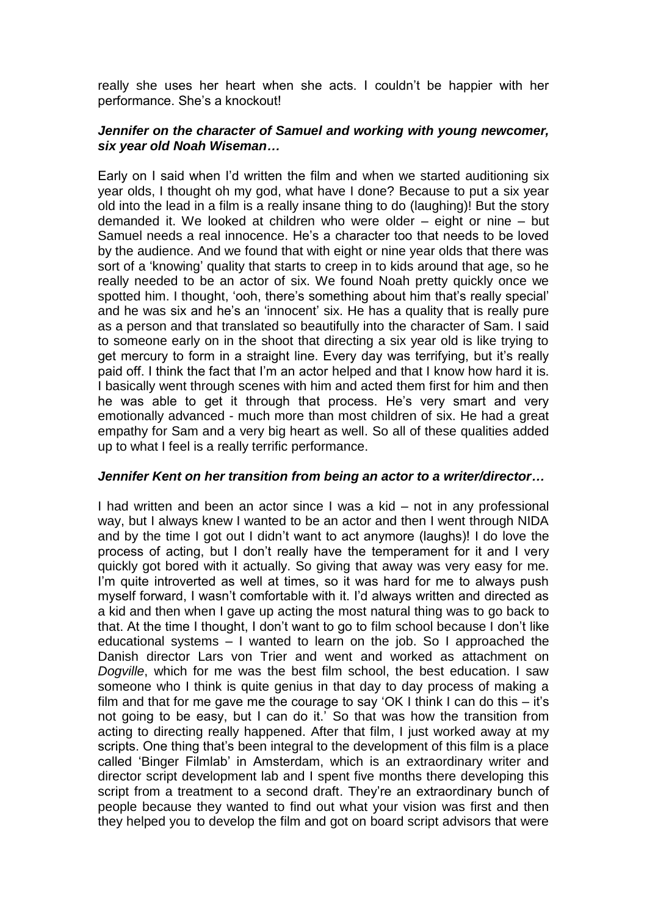really she uses her heart when she acts. I couldn't be happier with her performance. She's a knockout!

#### *Jennifer on the character of Samuel and working with young newcomer, six year old Noah Wiseman…*

Early on I said when I'd written the film and when we started auditioning six year olds, I thought oh my god, what have I done? Because to put a six year old into the lead in a film is a really insane thing to do (laughing)! But the story demanded it. We looked at children who were older – eight or nine – but Samuel needs a real innocence. He's a character too that needs to be loved by the audience. And we found that with eight or nine year olds that there was sort of a 'knowing' quality that starts to creep in to kids around that age, so he really needed to be an actor of six. We found Noah pretty quickly once we spotted him. I thought, 'ooh, there's something about him that's really special' and he was six and he's an 'innocent' six. He has a quality that is really pure as a person and that translated so beautifully into the character of Sam. I said to someone early on in the shoot that directing a six year old is like trying to get mercury to form in a straight line. Every day was terrifying, but it's really paid off. I think the fact that I'm an actor helped and that I know how hard it is. I basically went through scenes with him and acted them first for him and then he was able to get it through that process. He's very smart and very emotionally advanced - much more than most children of six. He had a great empathy for Sam and a very big heart as well. So all of these qualities added up to what I feel is a really terrific performance.

## *Jennifer Kent on her transition from being an actor to a writer/director…*

I had written and been an actor since I was a kid – not in any professional way, but I always knew I wanted to be an actor and then I went through NIDA and by the time I got out I didn't want to act anymore (laughs)! I do love the process of acting, but I don't really have the temperament for it and I very quickly got bored with it actually. So giving that away was very easy for me. I'm quite introverted as well at times, so it was hard for me to always push myself forward, I wasn't comfortable with it. I'd always written and directed as a kid and then when I gave up acting the most natural thing was to go back to that. At the time I thought, I don't want to go to film school because I don't like educational systems – I wanted to learn on the job. So I approached the Danish director Lars von Trier and went and worked as attachment on *Dogville*, which for me was the best film school, the best education. I saw someone who I think is quite genius in that day to day process of making a film and that for me gave me the courage to say 'OK I think I can do this  $-$  it's not going to be easy, but I can do it.' So that was how the transition from acting to directing really happened. After that film, I just worked away at my scripts. One thing that's been integral to the development of this film is a place called 'Binger Filmlab' in Amsterdam, which is an extraordinary writer and director script development lab and I spent five months there developing this script from a treatment to a second draft. They're an extraordinary bunch of people because they wanted to find out what your vision was first and then they helped you to develop the film and got on board script advisors that were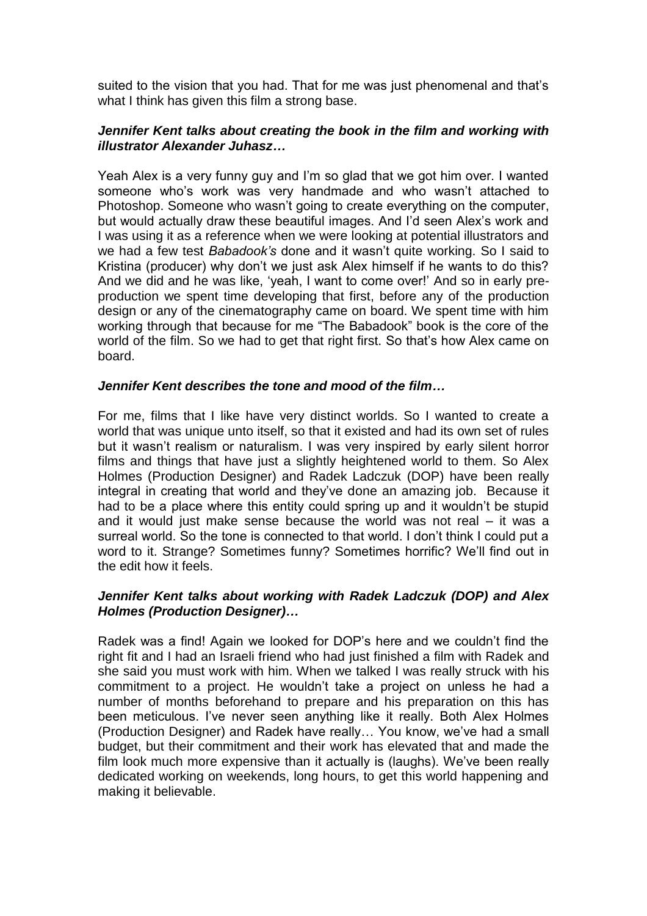suited to the vision that you had. That for me was just phenomenal and that's what I think has given this film a strong base.

#### *Jennifer Kent talks about creating the book in the film and working with illustrator Alexander Juhasz…*

Yeah Alex is a very funny guy and I'm so glad that we got him over. I wanted someone who's work was very handmade and who wasn't attached to Photoshop. Someone who wasn't going to create everything on the computer, but would actually draw these beautiful images. And I'd seen Alex's work and I was using it as a reference when we were looking at potential illustrators and we had a few test *Babadook's* done and it wasn't quite working. So I said to Kristina (producer) why don't we just ask Alex himself if he wants to do this? And we did and he was like, 'yeah, I want to come over!' And so in early preproduction we spent time developing that first, before any of the production design or any of the cinematography came on board. We spent time with him working through that because for me "The Babadook" book is the core of the world of the film. So we had to get that right first. So that's how Alex came on board.

## *Jennifer Kent describes the tone and mood of the film…*

For me, films that I like have very distinct worlds. So I wanted to create a world that was unique unto itself, so that it existed and had its own set of rules but it wasn't realism or naturalism. I was very inspired by early silent horror films and things that have just a slightly heightened world to them. So Alex Holmes (Production Designer) and Radek Ladczuk (DOP) have been really integral in creating that world and they've done an amazing job. Because it had to be a place where this entity could spring up and it wouldn't be stupid and it would just make sense because the world was not real – it was a surreal world. So the tone is connected to that world. I don't think I could put a word to it. Strange? Sometimes funny? Sometimes horrific? We'll find out in the edit how it feels.

## *Jennifer Kent talks about working with Radek Ladczuk (DOP) and Alex Holmes (Production Designer)…*

Radek was a find! Again we looked for DOP's here and we couldn't find the right fit and I had an Israeli friend who had just finished a film with Radek and she said you must work with him. When we talked I was really struck with his commitment to a project. He wouldn't take a project on unless he had a number of months beforehand to prepare and his preparation on this has been meticulous. I've never seen anything like it really. Both Alex Holmes (Production Designer) and Radek have really… You know, we've had a small budget, but their commitment and their work has elevated that and made the film look much more expensive than it actually is (laughs). We've been really dedicated working on weekends, long hours, to get this world happening and making it believable.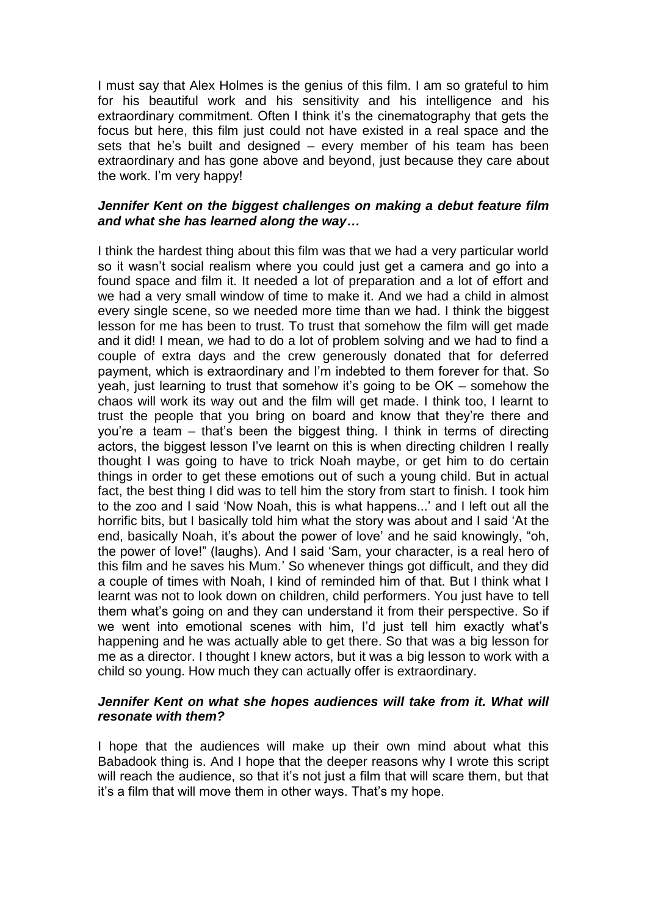I must say that Alex Holmes is the genius of this film. I am so grateful to him for his beautiful work and his sensitivity and his intelligence and his extraordinary commitment. Often I think it's the cinematography that gets the focus but here, this film just could not have existed in a real space and the sets that he's built and designed – every member of his team has been extraordinary and has gone above and beyond, just because they care about the work. I'm very happy!

#### *Jennifer Kent on the biggest challenges on making a debut feature film and what she has learned along the way…*

I think the hardest thing about this film was that we had a very particular world so it wasn't social realism where you could just get a camera and go into a found space and film it. It needed a lot of preparation and a lot of effort and we had a very small window of time to make it. And we had a child in almost every single scene, so we needed more time than we had. I think the biggest lesson for me has been to trust. To trust that somehow the film will get made and it did! I mean, we had to do a lot of problem solving and we had to find a couple of extra days and the crew generously donated that for deferred payment, which is extraordinary and I'm indebted to them forever for that. So yeah, just learning to trust that somehow it's going to be OK – somehow the chaos will work its way out and the film will get made. I think too, I learnt to trust the people that you bring on board and know that they're there and you're a team – that's been the biggest thing. I think in terms of directing actors, the biggest lesson I've learnt on this is when directing children I really thought I was going to have to trick Noah maybe, or get him to do certain things in order to get these emotions out of such a young child. But in actual fact, the best thing I did was to tell him the story from start to finish. I took him to the zoo and I said 'Now Noah, this is what happens...' and I left out all the horrific bits, but I basically told him what the story was about and I said 'At the end, basically Noah, it's about the power of love' and he said knowingly, "oh, the power of love!" (laughs). And I said 'Sam, your character, is a real hero of this film and he saves his Mum.' So whenever things got difficult, and they did a couple of times with Noah, I kind of reminded him of that. But I think what I learnt was not to look down on children, child performers. You just have to tell them what's going on and they can understand it from their perspective. So if we went into emotional scenes with him, I'd just tell him exactly what's happening and he was actually able to get there. So that was a big lesson for me as a director. I thought I knew actors, but it was a big lesson to work with a child so young. How much they can actually offer is extraordinary.

## *Jennifer Kent on what she hopes audiences will take from it. What will resonate with them?*

I hope that the audiences will make up their own mind about what this Babadook thing is. And I hope that the deeper reasons why I wrote this script will reach the audience, so that it's not just a film that will scare them, but that it's a film that will move them in other ways. That's my hope.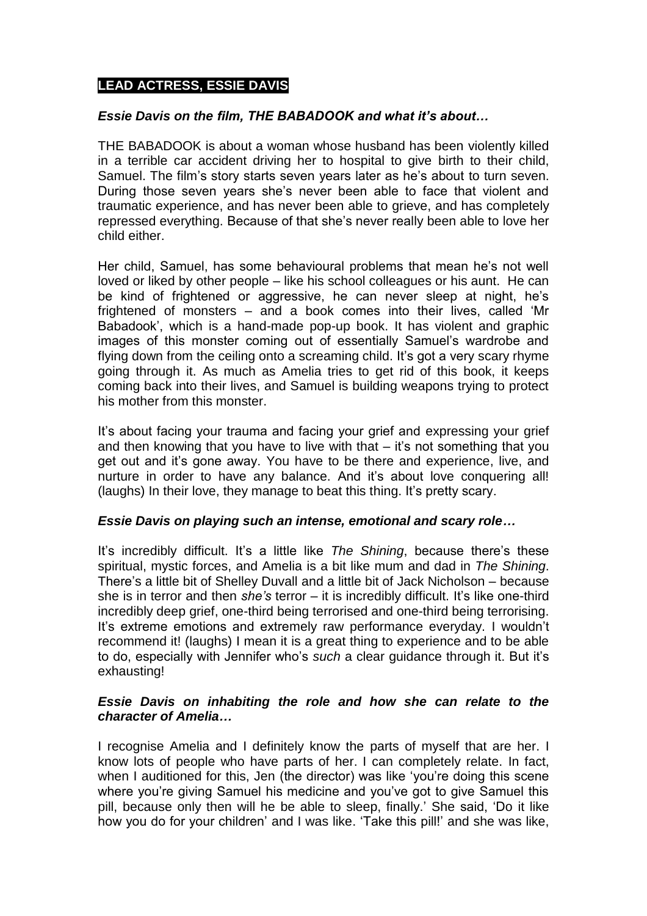# **LEAD ACTRESS, ESSIE DAVIS**

#### *Essie Davis on the film, THE BABADOOK and what it's about…*

THE BABADOOK is about a woman whose husband has been violently killed in a terrible car accident driving her to hospital to give birth to their child, Samuel. The film's story starts seven years later as he's about to turn seven. During those seven years she's never been able to face that violent and traumatic experience, and has never been able to grieve, and has completely repressed everything. Because of that she's never really been able to love her child either.

Her child, Samuel, has some behavioural problems that mean he's not well loved or liked by other people – like his school colleagues or his aunt. He can be kind of frightened or aggressive, he can never sleep at night, he's frightened of monsters – and a book comes into their lives, called 'Mr Babadook', which is a hand-made pop-up book. It has violent and graphic images of this monster coming out of essentially Samuel's wardrobe and flying down from the ceiling onto a screaming child. It's got a very scary rhyme going through it. As much as Amelia tries to get rid of this book, it keeps coming back into their lives, and Samuel is building weapons trying to protect his mother from this monster.

It's about facing your trauma and facing your grief and expressing your grief and then knowing that you have to live with that – it's not something that you get out and it's gone away. You have to be there and experience, live, and nurture in order to have any balance. And it's about love conquering all! (laughs) In their love, they manage to beat this thing. It's pretty scary.

#### *Essie Davis on playing such an intense, emotional and scary role…*

It's incredibly difficult. It's a little like *The Shining*, because there's these spiritual, mystic forces, and Amelia is a bit like mum and dad in *The Shining*. There's a little bit of Shelley Duvall and a little bit of Jack Nicholson – because she is in terror and then *she's* terror – it is incredibly difficult. It's like one-third incredibly deep grief, one-third being terrorised and one-third being terrorising. It's extreme emotions and extremely raw performance everyday. I wouldn't recommend it! (laughs) I mean it is a great thing to experience and to be able to do, especially with Jennifer who's *such* a clear guidance through it. But it's exhausting!

## *Essie Davis on inhabiting the role and how she can relate to the character of Amelia…*

I recognise Amelia and I definitely know the parts of myself that are her. I know lots of people who have parts of her. I can completely relate. In fact, when I auditioned for this, Jen (the director) was like 'you're doing this scene where you're giving Samuel his medicine and you've got to give Samuel this pill, because only then will he be able to sleep, finally.' She said, 'Do it like how you do for your children' and I was like. 'Take this pill!' and she was like,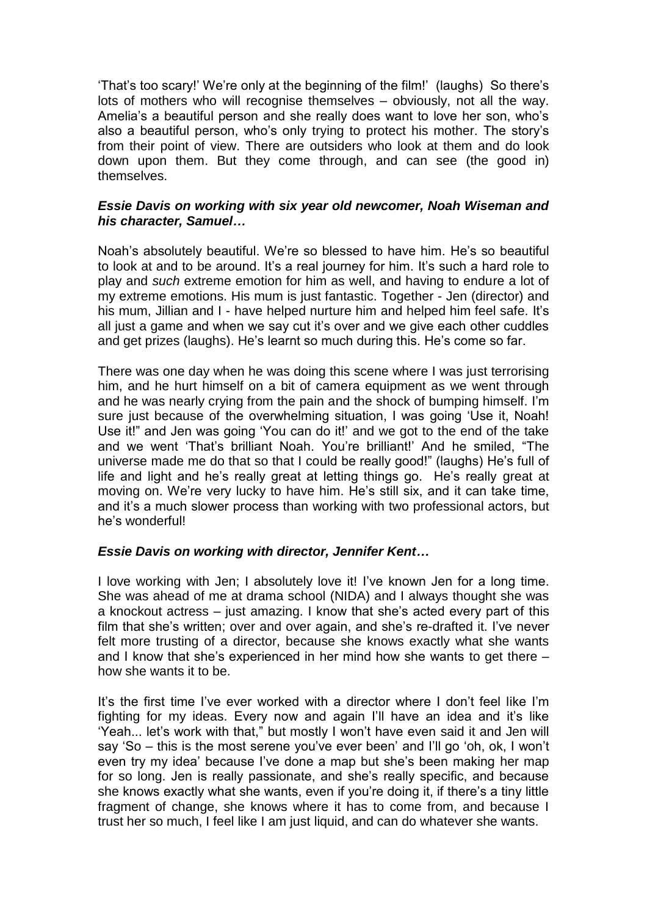'That's too scary!' We're only at the beginning of the film!' (laughs) So there's lots of mothers who will recognise themselves – obviously, not all the way. Amelia's a beautiful person and she really does want to love her son, who's also a beautiful person, who's only trying to protect his mother. The story's from their point of view. There are outsiders who look at them and do look down upon them. But they come through, and can see (the good in) themselves.

#### *Essie Davis on working with six year old newcomer, Noah Wiseman and his character, Samuel…*

Noah's absolutely beautiful. We're so blessed to have him. He's so beautiful to look at and to be around. It's a real journey for him. It's such a hard role to play and *such* extreme emotion for him as well, and having to endure a lot of my extreme emotions. His mum is just fantastic. Together - Jen (director) and his mum, Jillian and I - have helped nurture him and helped him feel safe. It's all just a game and when we say cut it's over and we give each other cuddles and get prizes (laughs). He's learnt so much during this. He's come so far.

There was one day when he was doing this scene where I was just terrorising him, and he hurt himself on a bit of camera equipment as we went through and he was nearly crying from the pain and the shock of bumping himself. I'm sure just because of the overwhelming situation, I was going 'Use it, Noah! Use it!" and Jen was going 'You can do it!' and we got to the end of the take and we went 'That's brilliant Noah. You're brilliant!' And he smiled, "The universe made me do that so that I could be really good!" (laughs) He's full of life and light and he's really great at letting things go. He's really great at moving on. We're very lucky to have him. He's still six, and it can take time, and it's a much slower process than working with two professional actors, but he's wonderful!

## *Essie Davis on working with director, Jennifer Kent…*

I love working with Jen; I absolutely love it! I've known Jen for a long time. She was ahead of me at drama school (NIDA) and I always thought she was a knockout actress – just amazing. I know that she's acted every part of this film that she's written; over and over again, and she's re-drafted it. I've never felt more trusting of a director, because she knows exactly what she wants and I know that she's experienced in her mind how she wants to get there – how she wants it to be.

It's the first time I've ever worked with a director where I don't feel like I'm fighting for my ideas. Every now and again I'll have an idea and it's like 'Yeah... let's work with that," but mostly I won't have even said it and Jen will say 'So – this is the most serene you've ever been' and I'll go 'oh, ok, I won't even try my idea' because I've done a map but she's been making her map for so long. Jen is really passionate, and she's really specific, and because she knows exactly what she wants, even if you're doing it, if there's a tiny little fragment of change, she knows where it has to come from, and because I trust her so much, I feel like I am just liquid, and can do whatever she wants.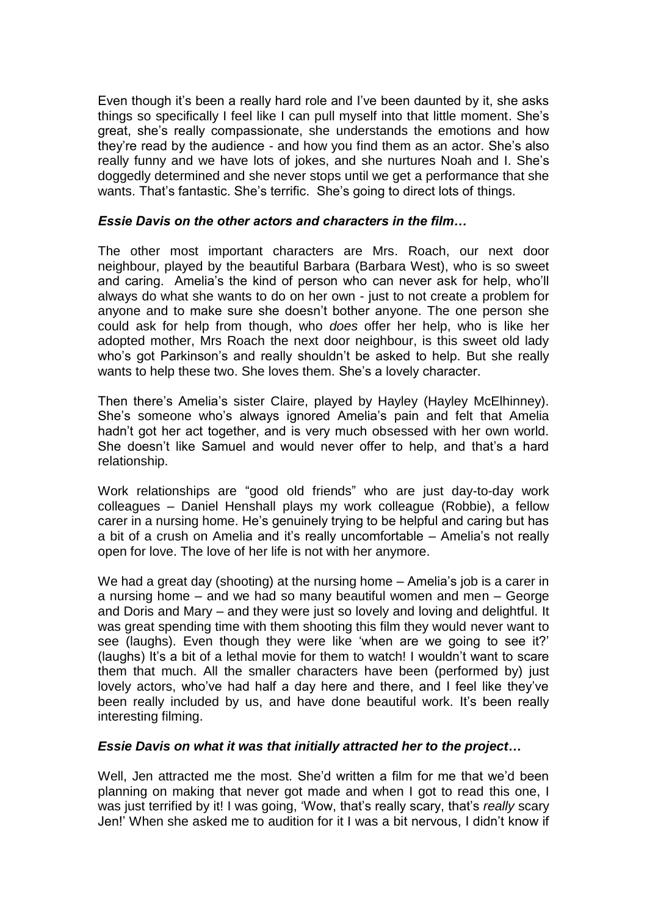Even though it's been a really hard role and I've been daunted by it, she asks things so specifically I feel like I can pull myself into that little moment. She's great, she's really compassionate, she understands the emotions and how they're read by the audience - and how you find them as an actor. She's also really funny and we have lots of jokes, and she nurtures Noah and I. She's doggedly determined and she never stops until we get a performance that she wants. That's fantastic. She's terrific. She's going to direct lots of things.

## *Essie Davis on the other actors and characters in the film…*

The other most important characters are Mrs. Roach, our next door neighbour, played by the beautiful Barbara (Barbara West), who is so sweet and caring. Amelia's the kind of person who can never ask for help, who'll always do what she wants to do on her own - just to not create a problem for anyone and to make sure she doesn't bother anyone. The one person she could ask for help from though, who *does* offer her help, who is like her adopted mother, Mrs Roach the next door neighbour, is this sweet old lady who's got Parkinson's and really shouldn't be asked to help. But she really wants to help these two. She loves them. She's a lovely character.

Then there's Amelia's sister Claire, played by Hayley (Hayley McElhinney). She's someone who's always ignored Amelia's pain and felt that Amelia hadn't got her act together, and is very much obsessed with her own world. She doesn't like Samuel and would never offer to help, and that's a hard relationship.

Work relationships are "good old friends" who are just day-to-day work colleagues – Daniel Henshall plays my work colleague (Robbie), a fellow carer in a nursing home. He's genuinely trying to be helpful and caring but has a bit of a crush on Amelia and it's really uncomfortable – Amelia's not really open for love. The love of her life is not with her anymore.

We had a great day (shooting) at the nursing home – Amelia's job is a carer in a nursing home – and we had so many beautiful women and men – George and Doris and Mary – and they were just so lovely and loving and delightful. It was great spending time with them shooting this film they would never want to see (laughs). Even though they were like 'when are we going to see it?' (laughs) It's a bit of a lethal movie for them to watch! I wouldn't want to scare them that much. All the smaller characters have been (performed by) just lovely actors, who've had half a day here and there, and I feel like they've been really included by us, and have done beautiful work. It's been really interesting filming.

## *Essie Davis on what it was that initially attracted her to the project…*

Well, Jen attracted me the most. She'd written a film for me that we'd been planning on making that never got made and when I got to read this one, I was just terrified by it! I was going, 'Wow, that's really scary, that's *really* scary Jen!' When she asked me to audition for it I was a bit nervous, I didn't know if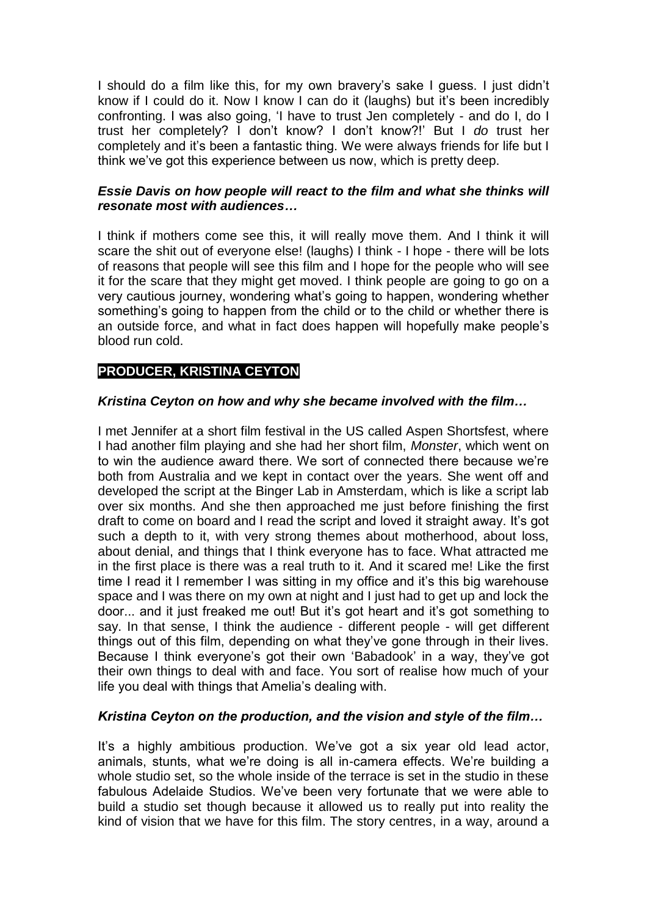I should do a film like this, for my own bravery's sake I guess. I just didn't know if I could do it. Now I know I can do it (laughs) but it's been incredibly confronting. I was also going, 'I have to trust Jen completely - and do I, do I trust her completely? I don't know? I don't know?!' But I *do* trust her completely and it's been a fantastic thing. We were always friends for life but I think we've got this experience between us now, which is pretty deep.

## *Essie Davis on how people will react to the film and what she thinks will resonate most with audiences…*

I think if mothers come see this, it will really move them. And I think it will scare the shit out of everyone else! (laughs) I think - I hope - there will be lots of reasons that people will see this film and I hope for the people who will see it for the scare that they might get moved. I think people are going to go on a very cautious journey, wondering what's going to happen, wondering whether something's going to happen from the child or to the child or whether there is an outside force, and what in fact does happen will hopefully make people's blood run cold.

# **PRODUCER, KRISTINA CEYTON**

# *Kristina Ceyton on how and why she became involved with the film…*

I met Jennifer at a short film festival in the US called Aspen Shortsfest, where I had another film playing and she had her short film, *Monster*, which went on to win the audience award there. We sort of connected there because we're both from Australia and we kept in contact over the years. She went off and developed the script at the Binger Lab in Amsterdam, which is like a script lab over six months. And she then approached me just before finishing the first draft to come on board and I read the script and loved it straight away. It's got such a depth to it, with very strong themes about motherhood, about loss, about denial, and things that I think everyone has to face. What attracted me in the first place is there was a real truth to it. And it scared me! Like the first time I read it I remember I was sitting in my office and it's this big warehouse space and I was there on my own at night and I just had to get up and lock the door... and it just freaked me out! But it's got heart and it's got something to say. In that sense, I think the audience - different people - will get different things out of this film, depending on what they've gone through in their lives. Because I think everyone's got their own 'Babadook' in a way, they've got their own things to deal with and face. You sort of realise how much of your life you deal with things that Amelia's dealing with.

## *Kristina Ceyton on the production, and the vision and style of the film…*

It's a highly ambitious production. We've got a six year old lead actor, animals, stunts, what we're doing is all in-camera effects. We're building a whole studio set, so the whole inside of the terrace is set in the studio in these fabulous Adelaide Studios. We've been very fortunate that we were able to build a studio set though because it allowed us to really put into reality the kind of vision that we have for this film. The story centres, in a way, around a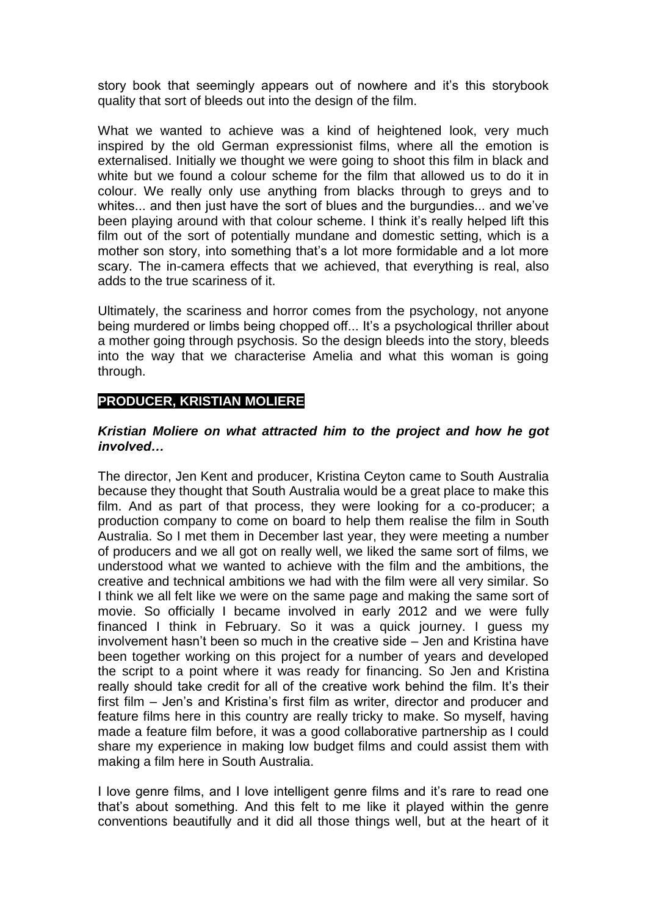story book that seemingly appears out of nowhere and it's this storybook quality that sort of bleeds out into the design of the film.

What we wanted to achieve was a kind of heightened look, very much inspired by the old German expressionist films, where all the emotion is externalised. Initially we thought we were going to shoot this film in black and white but we found a colour scheme for the film that allowed us to do it in colour. We really only use anything from blacks through to greys and to whites... and then just have the sort of blues and the burgundies... and we've been playing around with that colour scheme. I think it's really helped lift this film out of the sort of potentially mundane and domestic setting, which is a mother son story, into something that's a lot more formidable and a lot more scary. The in-camera effects that we achieved, that everything is real, also adds to the true scariness of it.

Ultimately, the scariness and horror comes from the psychology, not anyone being murdered or limbs being chopped off... It's a psychological thriller about a mother going through psychosis. So the design bleeds into the story, bleeds into the way that we characterise Amelia and what this woman is going through.

# **PRODUCER, KRISTIAN MOLIERE**

#### *Kristian Moliere on what attracted him to the project and how he got involved…*

The director, Jen Kent and producer, Kristina Ceyton came to South Australia because they thought that South Australia would be a great place to make this film. And as part of that process, they were looking for a co-producer; a production company to come on board to help them realise the film in South Australia. So I met them in December last year, they were meeting a number of producers and we all got on really well, we liked the same sort of films, we understood what we wanted to achieve with the film and the ambitions, the creative and technical ambitions we had with the film were all very similar. So I think we all felt like we were on the same page and making the same sort of movie. So officially I became involved in early 2012 and we were fully financed I think in February. So it was a quick journey. I guess my involvement hasn't been so much in the creative side – Jen and Kristina have been together working on this project for a number of years and developed the script to a point where it was ready for financing. So Jen and Kristina really should take credit for all of the creative work behind the film. It's their first film – Jen's and Kristina's first film as writer, director and producer and feature films here in this country are really tricky to make. So myself, having made a feature film before, it was a good collaborative partnership as I could share my experience in making low budget films and could assist them with making a film here in South Australia.

I love genre films, and I love intelligent genre films and it's rare to read one that's about something. And this felt to me like it played within the genre conventions beautifully and it did all those things well, but at the heart of it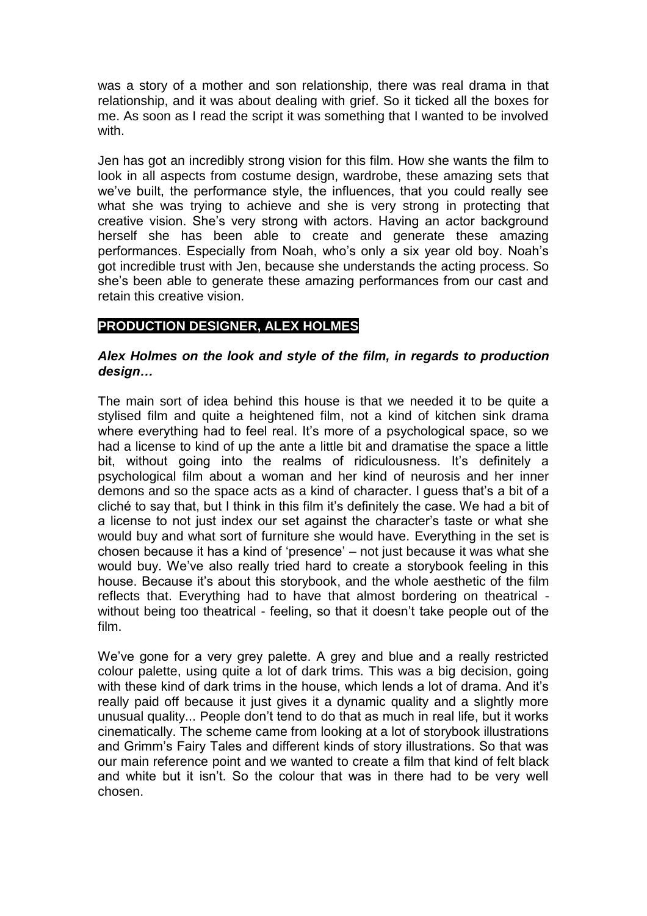was a story of a mother and son relationship, there was real drama in that relationship, and it was about dealing with grief. So it ticked all the boxes for me. As soon as I read the script it was something that I wanted to be involved with.

Jen has got an incredibly strong vision for this film. How she wants the film to look in all aspects from costume design, wardrobe, these amazing sets that we've built, the performance style, the influences, that you could really see what she was trying to achieve and she is very strong in protecting that creative vision. She's very strong with actors. Having an actor background herself she has been able to create and generate these amazing performances. Especially from Noah, who's only a six year old boy. Noah's got incredible trust with Jen, because she understands the acting process. So she's been able to generate these amazing performances from our cast and retain this creative vision.

# **PRODUCTION DESIGNER, ALEX HOLMES**

#### *Alex Holmes on the look and style of the film, in regards to production design…*

The main sort of idea behind this house is that we needed it to be quite a stylised film and quite a heightened film, not a kind of kitchen sink drama where everything had to feel real. It's more of a psychological space, so we had a license to kind of up the ante a little bit and dramatise the space a little bit, without going into the realms of ridiculousness. It's definitely a psychological film about a woman and her kind of neurosis and her inner demons and so the space acts as a kind of character. I guess that's a bit of a cliché to say that, but I think in this film it's definitely the case. We had a bit of a license to not just index our set against the character's taste or what she would buy and what sort of furniture she would have. Everything in the set is chosen because it has a kind of 'presence' – not just because it was what she would buy. We've also really tried hard to create a storybook feeling in this house. Because it's about this storybook, and the whole aesthetic of the film reflects that. Everything had to have that almost bordering on theatrical without being too theatrical - feeling, so that it doesn't take people out of the film.

We've gone for a very grey palette. A grey and blue and a really restricted colour palette, using quite a lot of dark trims. This was a big decision, going with these kind of dark trims in the house, which lends a lot of drama. And it's really paid off because it just gives it a dynamic quality and a slightly more unusual quality... People don't tend to do that as much in real life, but it works cinematically. The scheme came from looking at a lot of storybook illustrations and Grimm's Fairy Tales and different kinds of story illustrations. So that was our main reference point and we wanted to create a film that kind of felt black and white but it isn't. So the colour that was in there had to be very well chosen.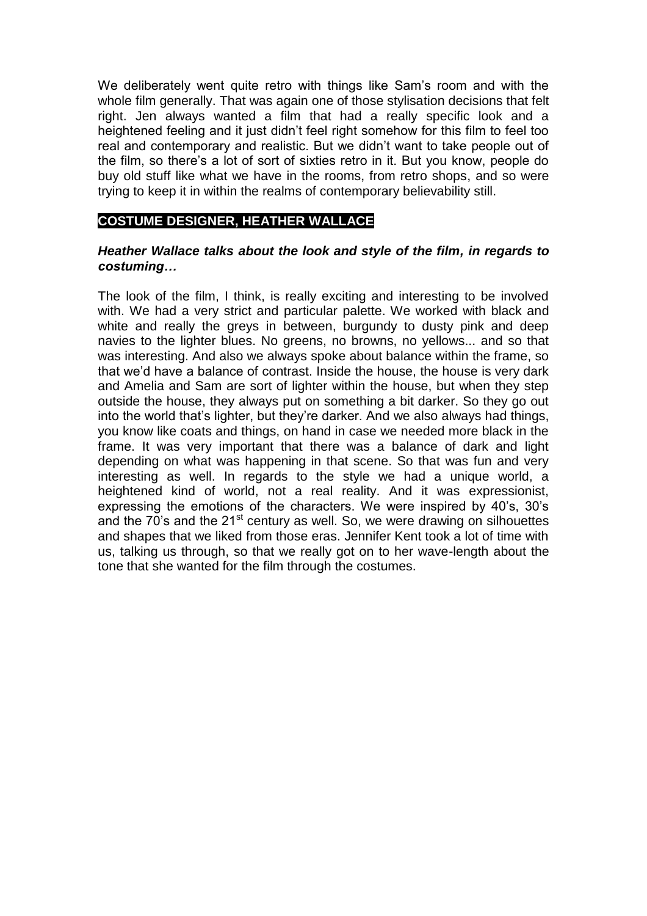We deliberately went quite retro with things like Sam's room and with the whole film generally. That was again one of those stylisation decisions that felt right. Jen always wanted a film that had a really specific look and a heightened feeling and it just didn't feel right somehow for this film to feel too real and contemporary and realistic. But we didn't want to take people out of the film, so there's a lot of sort of sixties retro in it. But you know, people do buy old stuff like what we have in the rooms, from retro shops, and so were trying to keep it in within the realms of contemporary believability still.

# **COSTUME DESIGNER, HEATHER WALLACE**

## *Heather Wallace talks about the look and style of the film, in regards to costuming…*

The look of the film, I think, is really exciting and interesting to be involved with. We had a very strict and particular palette. We worked with black and white and really the greys in between, burgundy to dusty pink and deep navies to the lighter blues. No greens, no browns, no yellows... and so that was interesting. And also we always spoke about balance within the frame, so that we'd have a balance of contrast. Inside the house, the house is very dark and Amelia and Sam are sort of lighter within the house, but when they step outside the house, they always put on something a bit darker. So they go out into the world that's lighter, but they're darker. And we also always had things, you know like coats and things, on hand in case we needed more black in the frame. It was very important that there was a balance of dark and light depending on what was happening in that scene. So that was fun and very interesting as well. In regards to the style we had a unique world, a heightened kind of world, not a real reality. And it was expressionist, expressing the emotions of the characters. We were inspired by 40's, 30's and the 70's and the 21<sup>st</sup> century as well. So, we were drawing on silhouettes and shapes that we liked from those eras. Jennifer Kent took a lot of time with us, talking us through, so that we really got on to her wave-length about the tone that she wanted for the film through the costumes.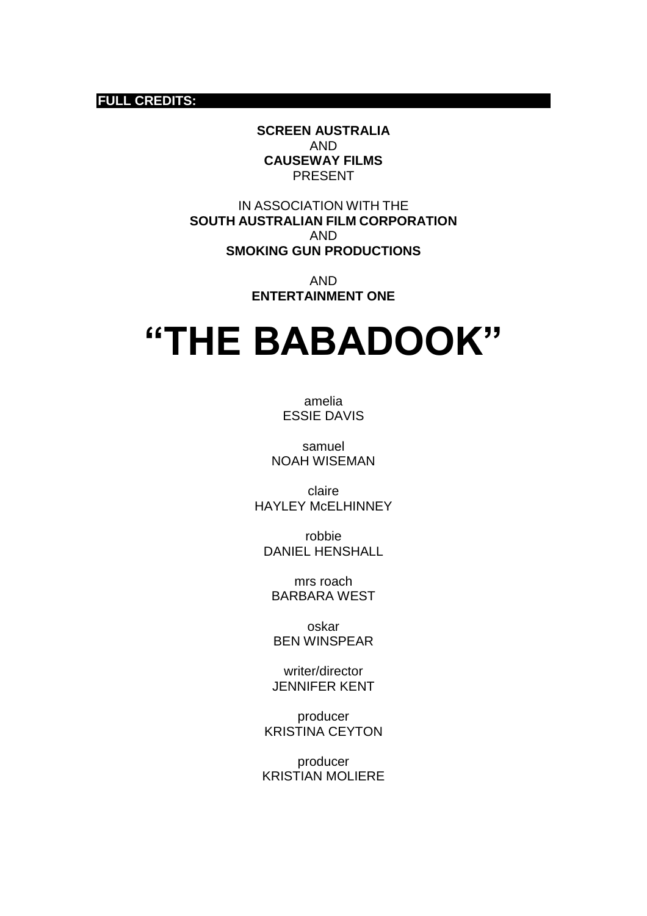#### **FULL CREDITS:**

**SCREEN AUSTRALIA** AND **CAUSEWAY FILMS** PRESENT

IN ASSOCIATION WITH THE **SOUTH AUSTRALIAN FILM CORPORATION** AND **SMOKING GUN PRODUCTIONS**

> AND **ENTERTAINMENT ONE**

# **"THE BABADOOK"**

amelia ESSIE DAVIS

samuel NOAH WISEMAN

claire HAYLEY McELHINNEY

robbie DANIEL HENSHALL

mrs roach BARBARA WEST

oskar BEN WINSPEAR

writer/director JENNIFER KENT

producer KRISTINA CEYTON

producer KRISTIAN MOLIERE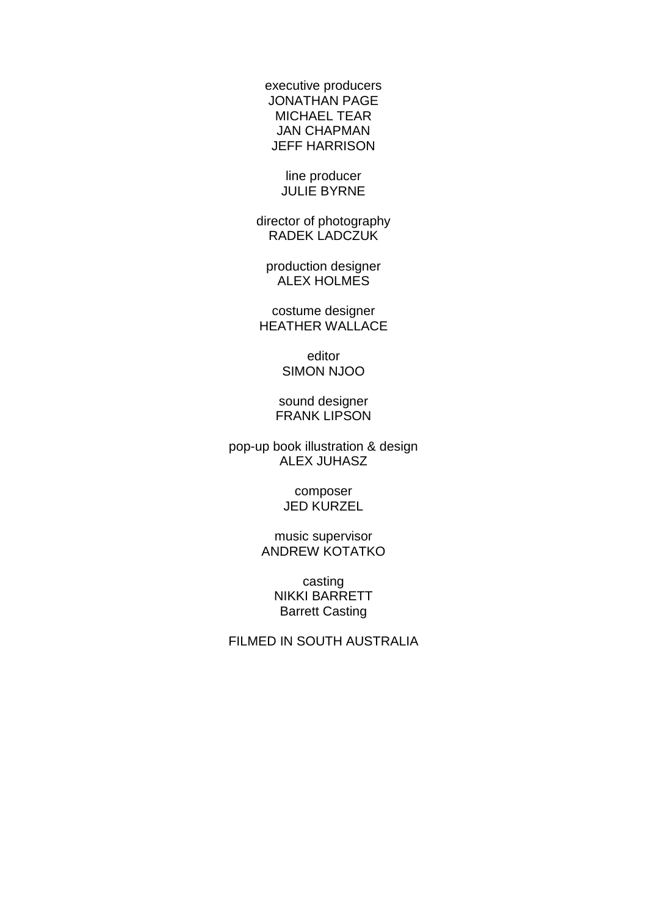executive producers JONATHAN PAGE MICHAEL TEAR JAN CHAPMAN JEFF HARRISON

> line producer JULIE BYRNE

director of photography RADEK LADCZUK

production designer ALEX HOLMES

costume designer HEATHER WALLACE

> editor SIMON NJOO

sound designer FRANK LIPSON

pop-up book illustration & design ALEX JUHASZ

> composer JED KURZEL

music supervisor ANDREW KOTATKO

> casting NIKKI BARRETT Barrett Casting

FILMED IN SOUTH AUSTRALIA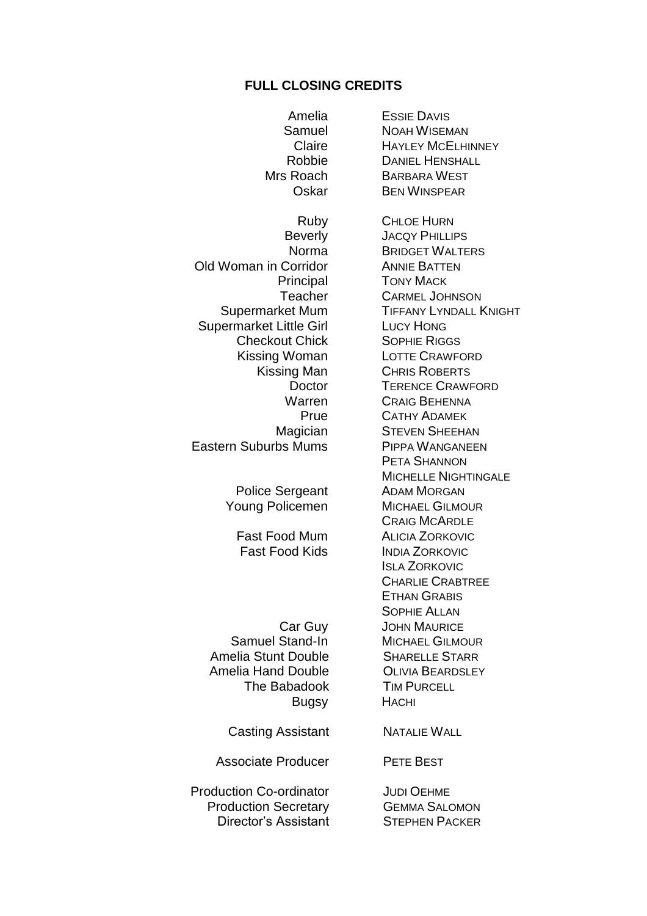#### **FULL CLOSING CREDITS**

Amelia ESSIE DAVIS Samuel **NOAH WISEMAN**<br>Claire HAYLEY MCELHI Mrs Roach BARBARA WEST Old Woman in Corridor **ANNIE BATTEN** Principal TONY MACK Supermarket Mum **TIFFANY LYNDALL KNIGHT** Supermarket Little Girl LUCY HONG<br>Checkout Chick Sophie Riggs **Checkout Chick** Kissing Woman LOTTE CRAWFORD Kissing Man CHRIS ROBERTS Eastern Suburbs Mums PIPPA WANGANEEN Police Sergeant ADAM MORGAN Young Policemen MICHAEL GILMOUR Fast Food Mum ALICIA ZORKOVIC Fast Food Kids **INDIA ZORKOVIC** Car Guy JOHN MAURICE Samuel Stand-In MICHAEL GILMOUR Amelia Stunt Double **SHARELLE STARR** Amelia Hand Double **COLIVIA BEARDSLEY**<br>The Babadook **TIM PURCELL** The Babadook Bugsy HACHI Casting Assistant NATALIE WALL Associate Producer PETE BEST **Production Co-ordinator JUDI OEHME** Production Secretary GEMMA SALOMON

Claire HAYLEY MCELHINNEY<br>Robbie Daniel Henshall **DANIEL HENSHALL** Oskar BEN WINSPEAR Ruby CHLOE HURN Beverly JACQY PHILLIPS Norma BRIDGET WALTERS Teacher CARMEL JOHNSON Doctor TERENCE CRAWFORD Warren CRAIG BEHENNA<br>Prue CATHY ADAMEK CATHY ADAMEK Magician STEVEN SHEEHAN PETA SHANNON MICHELLE NIGHTINGALE CRAIG MCARDLE ISLA ZORKOVIC CHARLIE CRABTREE ETHAN GRABIS SOPHIE ALLAN

Director's Assistant STEPHEN PACKER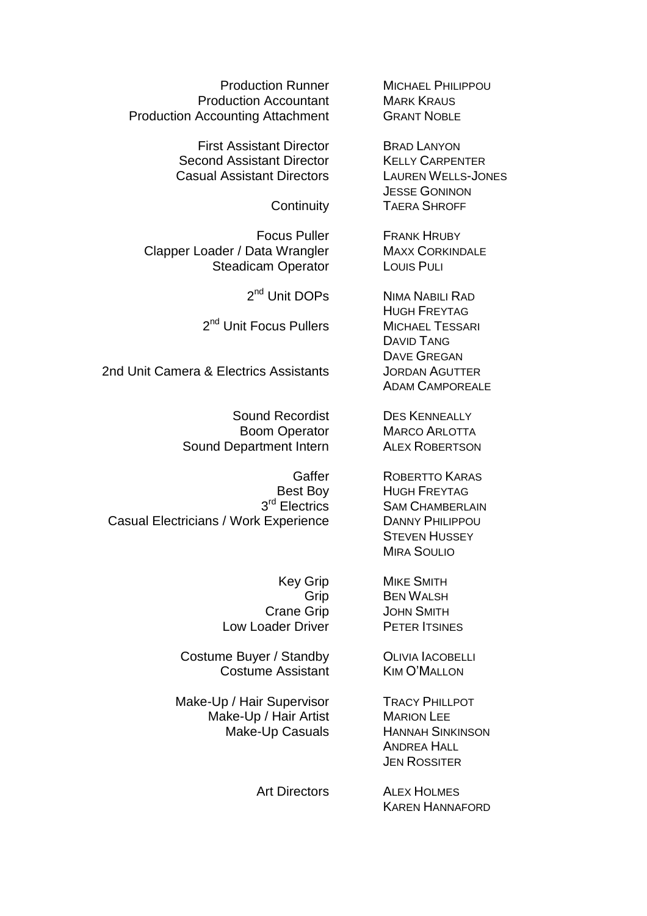**Production Runner MICHAEL PHILIPPOU Production Accountant** MARK KRAUS<br> **Accounting Attachment** GRANT NOBLE Production Accounting Attachment

> First Assistant Director BRAD LANYON Second Assistant Director KELLY CARPENTER Casual Assistant Directors LAUREN WELLS-JONES

Clapper Loader / Data Wrangler MAXX CORKINDALE Steadicam Operator Louis PuLi

2<sup>nd</sup> Unit DOPs

2<sup>nd</sup> Unit Focus Pullers Michael Tessari

2nd Unit Camera & Electrics Assistants JORDAN AGUTTER

Sound Department Intern ALEX ROBERTSON

3rd Electrics Casual Electricians / Work Experience DANNY PHILIPPOU

Low Loader Driver PETER ITSINES

Costume Buyer / Standby **OLIVIA IACOBELLI** Costume Assistant KIM O'MALLON

Make-Up / Hair Supervisor TRACY PHILLPOT Make-Up / Hair Artist MARION LEE

JESSE GONINON Continuity TAERA SHROFF

Focus Puller FRANK HRUBY

NIMA NABILI RAD HUGH FREYTAG DAVID TANG DAVE GREGAN ADAM CAMPOREALE

Sound Recordist DES KENNEALLY Boom Operator MARCO ARLOTTA

> Gaffer ROBERTTO KARAS Best Boy HUGH FREYTAG **SAM CHAMBERLAIN STEVEN HUSSEY** MIRA SOULIO

Key Grip MIKE SMITH Grip BEN WALSH Crane Grip JOHN SMITH

Make-Up Casuals HANNAH SINKINSON ANDREA HALL JEN ROSSITER

> Art Directors ALEX HOLMES KAREN HANNAFORD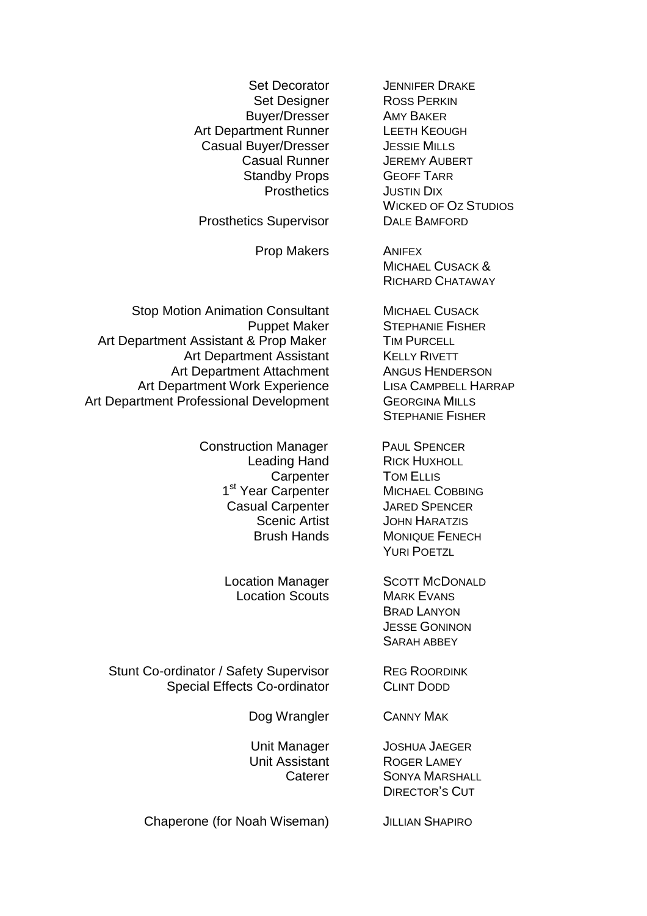Buyer/Dresser AMY BAKER Art Department Runner<br>Casual Buver/Dresser Bussie Mills Casual Buyer/Dresser<br>Casual Runner JEREMY AUBERT **Casual Runner** Standby Props **GEOFF TARR** 

Prosthetics Supervisor

Prop Makers **ANIFEX** 

Stop Motion Animation Consultant MICHAEL CUSACK Art Department Assistant & Prop Maker TIM PURCELL Art Department Assistant KELLY RIVETT Art Department Attachment Angus Henderson<br>
Angus Henderson<br>
Lisa Campbell Harrap Art Department Work Experience Art Department Professional Development GEORGINA MILLS

> Construction Manager PAUL SPENCER Leading Hand RICK HUXHOLL Carpenter TOM ELLIS 1<sup>st</sup> Year Carpenter MICHAEL COBBING Casual Carpenter **JARED SPENCER**

Location Scouts MARK EVANS

Stunt Co-ordinator / Safety Supervisor REG ROORDINK Special Effects Co-ordinator CLINT DODD

Dog Wrangler CANNY MAK

Chaperone (for Noah Wiseman) JILLIAN SHAPIRO

Set Decorator **JENNIFER DRAKE** Set Designer ROSS PERKIN Prosthetics **JUSTIN DIX** WICKED OF **OZ STUDIOS**<br>DALE BAMFORD

> MICHAEL CUSACK & RICHARD CHATAWAY

Puppet Maker STEPHANIE FISHER STEPHANIE FISHER

Scenic Artist **JOHN HARATZIS** Brush Hands MONIQUE FENECH YURI POETZL

Location Manager **SCOTT MCDONALD** BRAD LANYON JESSE GONINON SARAH ABBEY

Unit Manager JOSHUA JAEGER Unit Assistant ROGER LAMEY Caterer SONYA MARSHALL DIRECTOR'S CUT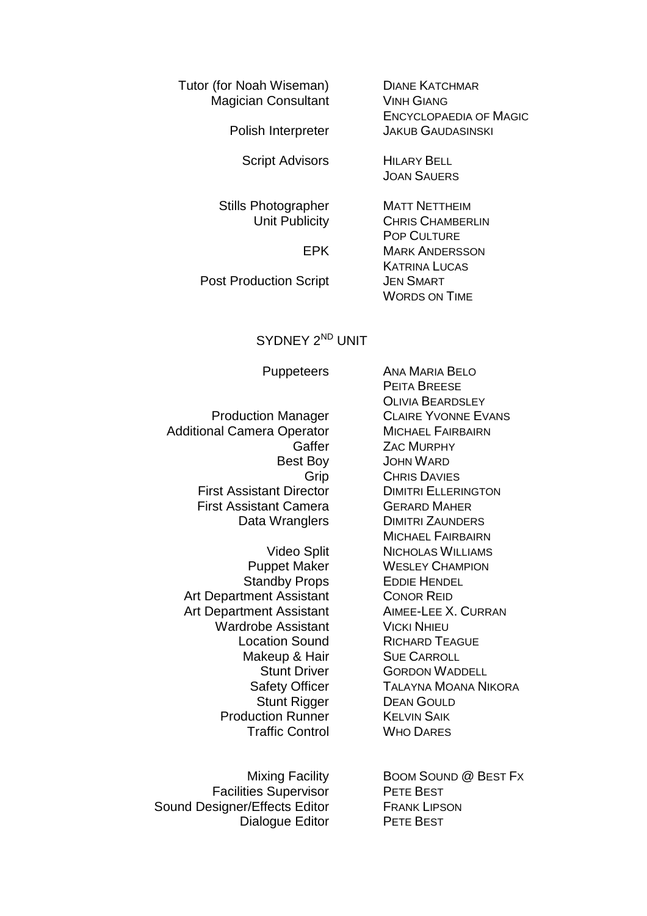Tutor (for Noah Wiseman) DIANE KATCHMAR Magician Consultant VINH GIANG

Script Advisors HILARY BELL

Stills Photographer MATT NETTHEIM<br>Unit Publicity CHRIS CHAMBER

Post Production Script JEN SMART

ENCYCLOPAEDIA OF MAGIC Polish Interpreter JAKUB GAUDASINSKI

JOAN SAUERS

CHRIS CHAMBERLIN POP CULTURE EPK MARK ANDERSSON KATRINA LUCAS WORDS ON TIME

## SYDNEY 2<sup>ND</sup> UNIT

Additional Camera Operator MICHAEL FAIRBAIRN First Assistant Director DIMITRI ELLERINGTON First Assistant Camera GERARD MAHER

Standby Props EDDIE HENDEL Art Department Assistant CONOR REID<br>Art Department Assistant AIMEE-LEE X. CURRAN Art Department Assistant Wardrobe Assistant VICKI NHIFU Makeup & Hair SUE CARROLL **Production Runner KELVIN SAIK** Traffic Control WHO DARES

Facilities Supervisor PETE BEST Sound Designer/Effects Editor FRANK LIPSON Dialogue Editor PETE BEST

Puppeteers ANA MARIA BELO PEITA BREESE OLIVIA BEARDSLEY Production Manager **CLAIRE YVONNE EVANS** Gaffer **ZAC MURPHY** Best Boy JOHN WARD Grip CHRIS DAVIES Data Wranglers DIMITRI ZAUNDERS MICHAEL FAIRBAIRN Video Split NICHOLAS WILLIAMS Puppet Maker WESLEY CHAMPION Location Sound RICHARD TEAGUE Stunt Driver **GORDON WADDELL** Safety Officer **TALAYNA MOANA NIKORA** Stunt Rigger DEAN GOULD

Mixing Facility **BOOM SOUND @ BEST Fx**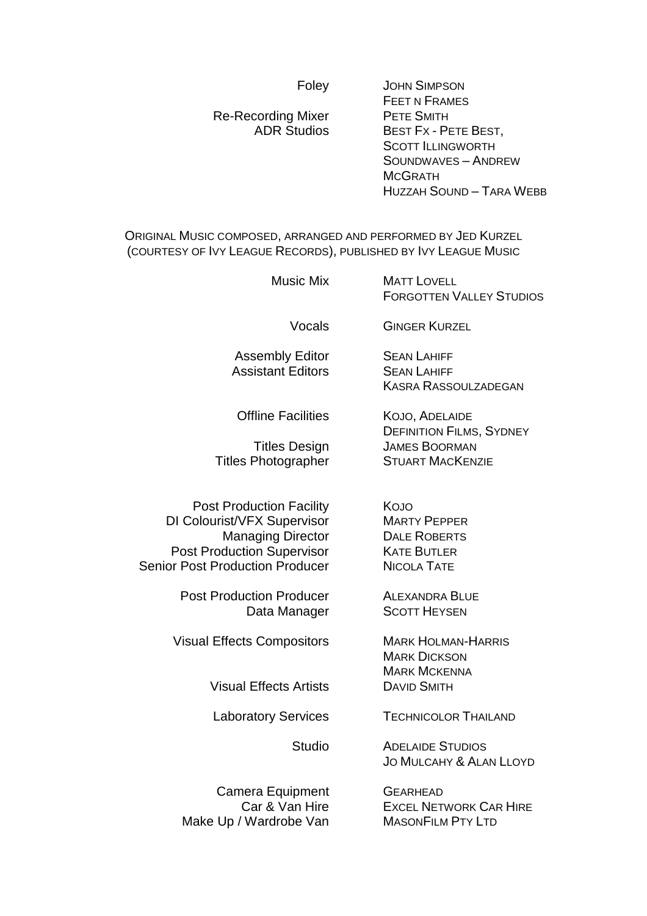#### Foley JOHN SIMPSON

FEET N FRAMES<br>PETE SMITH Re-Recording Mixer<br>ADR Studios BEST FX - PETE BEST, SCOTT ILLINGWORTH SOUNDWAVES – ANDREW **MCGRATH** 

HUZZAH SOUND – TARA WEBB

ORIGINAL MUSIC COMPOSED, ARRANGED AND PERFORMED BY JED KURZEL (COURTESY OF IVY LEAGUE RECORDS), PUBLISHED BY IVY LEAGUE MUSIC

| <b>Music Mix</b>                                                                                                                                                          | <b>MATT LOVELL</b><br><b>FORGOTTEN VALLEY STUDIOS</b>                                                |
|---------------------------------------------------------------------------------------------------------------------------------------------------------------------------|------------------------------------------------------------------------------------------------------|
| Vocals                                                                                                                                                                    | <b>GINGER KURZEL</b>                                                                                 |
| <b>Assembly Editor</b><br><b>Assistant Editors</b>                                                                                                                        | <b>SEAN LAHIFF</b><br><b>SEAN LAHIFF</b><br><b>KASRA RASSOULZADEGAN</b>                              |
| <b>Offline Facilities</b><br><b>Titles Design</b><br><b>Titles Photographer</b>                                                                                           | KOJO, ADELAIDE<br><b>DEFINITION FILMS, SYDNEY</b><br><b>JAMES BOORMAN</b><br><b>STUART MACKENZIE</b> |
| <b>Post Production Facility</b><br>DI Colourist/VFX Supervisor<br><b>Managing Director</b><br><b>Post Production Supervisor</b><br><b>Senior Post Production Producer</b> | KOJO<br><b>MARTY PEPPER</b><br><b>DALE ROBERTS</b><br><b>KATE BUTLER</b><br><b>NICOLA TATE</b>       |
| <b>Post Production Producer</b><br>Data Manager                                                                                                                           | <b>ALEXANDRA BLUE</b><br><b>SCOTT HEYSEN</b>                                                         |
| <b>Visual Effects Compositors</b>                                                                                                                                         | <b>MARK HOLMAN-HARRIS</b><br><b>MARK DICKSON</b><br><b>MARK MCKENNA</b>                              |
| <b>Visual Effects Artists</b>                                                                                                                                             | <b>DAVID SMITH</b>                                                                                   |
| <b>Laboratory Services</b>                                                                                                                                                | <b>TECHNICOLOR THAILAND</b>                                                                          |
|                                                                                                                                                                           |                                                                                                      |

Studio ADELAIDE STUDIOS JO MULCAHY & ALAN LLOYD

**EXCEL NETWORK CAR HIRE** 

Camera Equipment GEARHEAD<br>Car & Van Hire EXCEL NET Make Up / Wardrobe Van MASONFILM PTY LTD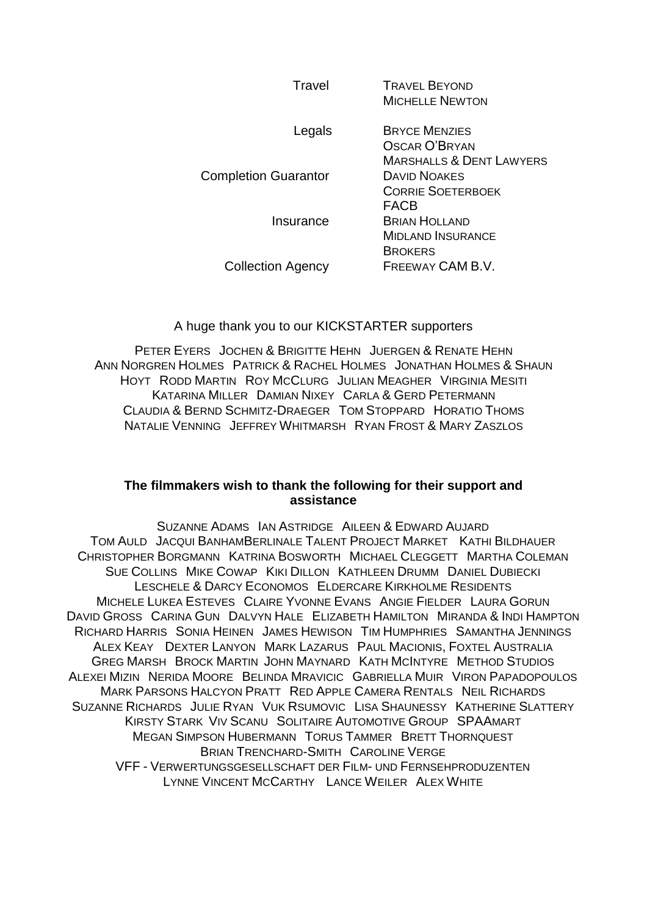| Travel                      | <b>TRAVEL BEYOND</b><br><b>MICHELLE NEWTON</b>                               |
|-----------------------------|------------------------------------------------------------------------------|
| Legals                      | <b>BRYCE MENZIES</b><br>OSCAR O'BRYAN<br><b>MARSHALLS &amp; DENT LAWYERS</b> |
| <b>Completion Guarantor</b> | <b>DAVID NOAKES</b><br><b>CORRIE SOETERBOEK</b><br>FACB                      |
| Insurance                   | <b>BRIAN HOLLAND</b><br><b>MIDLAND INSURANCE</b><br><b>BROKERS</b>           |
| <b>Collection Agency</b>    | FREEWAY CAM B.V.                                                             |
|                             |                                                                              |

#### A huge thank you to our KICKSTARTER supporters

PETER EYERS JOCHEN & BRIGITTE HEHN JUERGEN & RENATE HEHN ANN NORGREN HOLMES PATRICK & RACHEL HOLMES JONATHAN HOLMES & SHAUN HOYT RODD MARTIN ROY MCCLURG JULIAN MEAGHER VIRGINIA MESITI KATARINA MILLER DAMIAN NIXEY CARLA & GERD PETERMANN CLAUDIA & BERND SCHMITZ-DRAEGER TOM STOPPARD HORATIO THOMS NATALIE VENNING JEFFREY WHITMARSH RYAN FROST & MARY ZASZLOS

#### **The filmmakers wish to thank the following for their support and assistance**

SUZANNE ADAMS IAN ASTRIDGE AILEEN & EDWARD AUJARD TOM AULD JACQUI BANHAMBERLINALE TALENT PROJECT MARKET KATHI BILDHAUER CHRISTOPHER BORGMANN KATRINA BOSWORTH MICHAEL CLEGGETT MARTHA COLEMAN SUE COLLINS MIKE COWAP KIKI DILLON KATHLEEN DRUMM DANIEL DUBIECKI LESCHELE & DARCY ECONOMOS ELDERCARE KIRKHOLME RESIDENTS MICHELE LUKEA ESTEVES CLAIRE YVONNE EVANS ANGIE FIELDER LAURA GORUN DAVID GROSS CARINA GUN DALVYN HALE ELIZABETH HAMILTON MIRANDA & INDI HAMPTON RICHARD HARRIS SONIA HEINEN JAMES HEWISON TIM HUMPHRIES SAMANTHA JENNINGS ALEX KEAY DEXTER LANYON MARK LAZARUS PAUL MACIONIS, FOXTEL AUSTRALIA GREG MARSH BROCK MARTIN JOHN MAYNARD KATH MCINTYRE METHOD STUDIOS ALEXEI MIZIN NERIDA MOORE BELINDA MRAVICIC GABRIELLA MUIR VIRON PAPADOPOULOS MARK PARSONS HALCYON PRATT RED APPLE CAMERA RENTALS NEIL RICHARDS SUZANNE RICHARDS JULIE RYAN VUK RSUMOVIC LISA SHAUNESSY KATHERINE SLATTERY KIRSTY STARK VIV SCANU SOLITAIRE AUTOMOTIVE GROUP SPAAMART MEGAN SIMPSON HUBERMANN TORUS TAMMER BRETT THORNQUEST BRIAN TRENCHARD-SMITH CAROLINE VERGE VFF - VERWERTUNGSGESELLSCHAFT DER FILM- UND FERNSEHPRODUZENTEN LYNNE VINCENT MCCARTHY LANCE WEILER ALEX WHITE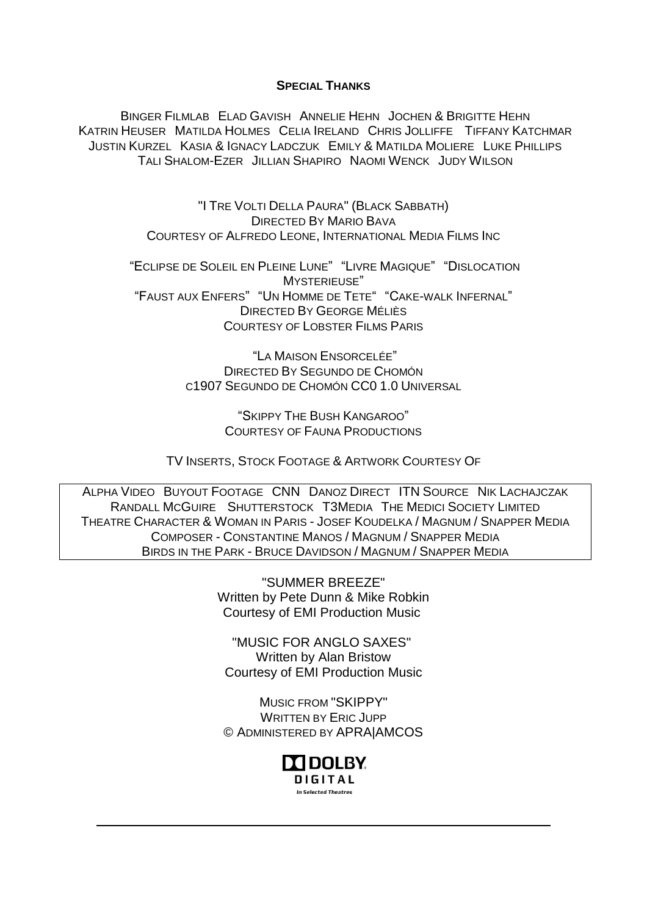#### **SPECIAL THANKS**

BINGER FILMLAB ELAD GAVISH ANNELIE HEHN JOCHEN & BRIGITTE HEHN KATRIN HEUSER MATILDA HOLMES CELIA IRELAND CHRIS JOLLIFFE TIFFANY KATCHMAR JUSTIN KURZEL KASIA & IGNACY LADCZUK EMILY & MATILDA MOLIERE LUKE PHILLIPS TALI S[HALOM](http://pro.imdb.com/name/nm3394592/)-EZER JILLIAN SHAPIRO NAOMI WENCK JUDY WILSON

> "I TRE VOLTI DELLA PAURA" (BLACK SABBATH) DIRECTED BY MARIO BAVA COURTESY OF ALFREDO LEONE, INTERNATIONAL MEDIA FILMS INC

"ECLIPSE DE SOLEIL EN PLEINE LUNE" "LIVRE MAGIQUE" "DISLOCATION MYSTERIEUSE" "FAUST AUX ENFERS" "UN HOMME DE TETE" "CAKE-WALK INFERNAL" DIRECTED BY GEORGE MÉLIÈS COURTESY OF LOBSTER FILMS PARIS

> "LA MAISON ENSORCELÉE" DIRECTED BY SEGUNDO DE CHOMÓN C1907 SEGUNDO DE CHOMÓN CC0 1.0 UNIVERSAL

> > "SKIPPY THE BUSH KANGAROO" COURTESY OF FAUNA PRODUCTIONS

TV INSERTS, STOCK FOOTAGE & ARTWORK COURTESY OF

ALPHA VIDEO BUYOUT FOOTAGE CNN DANOZ DIRECT ITN SOURCE NIK LACHAJCZAK RANDALL MCGUIRE SHUTTERSTOCK T3MEDIA THE MEDICI SOCIETY LIMITED THEATRE CHARACTER & WOMAN IN PARIS - JOSEF KOUDELKA / MAGNUM / SNAPPER MEDIA COMPOSER - CONSTANTINE MANOS / MAGNUM / SNAPPER MEDIA BIRDS IN THE PARK - BRUCE DAVIDSON / MAGNUM / SNAPPER MEDIA

> "SUMMER BREEZE" Written by Pete Dunn & Mike Robkin Courtesy of EMI Production Music

"MUSIC FOR ANGLO SAXES" Written by Alan Bristow Courtesy of EMI Production Music

MUSIC FROM "SKIPPY" WRITTEN BY ERIC JUPP © ADMINISTERED BY APRA|AMCOS

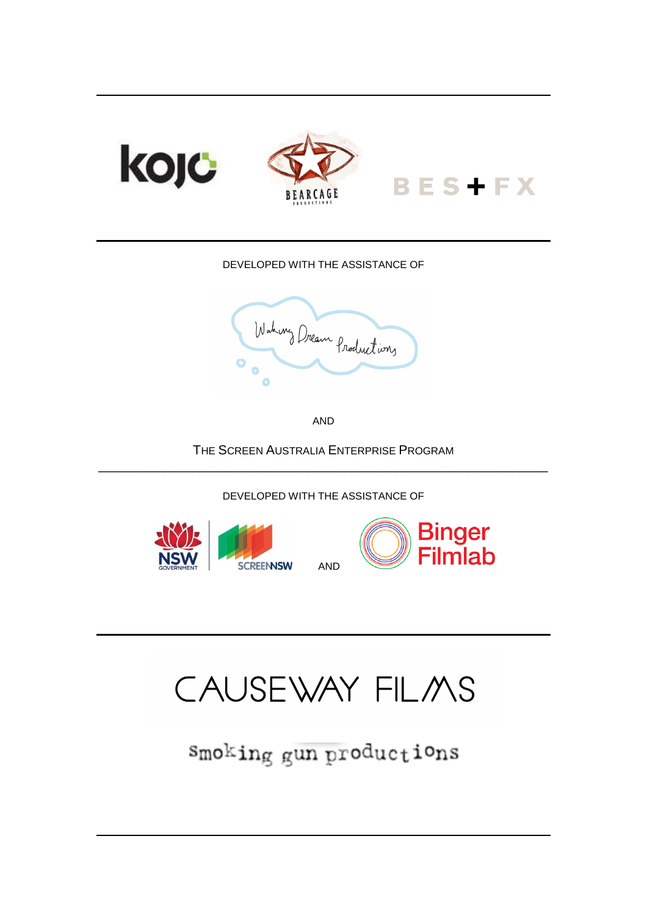

#### DEVELOPED WITH THE ASSISTANCE OF



AND

THE SCREEN AUSTRALIA ENTERPRISE PROGRAM \_\_\_\_\_\_\_\_\_\_\_\_\_\_\_\_\_\_\_\_\_\_\_\_\_\_\_\_\_\_\_\_\_\_\_\_\_\_\_\_\_\_\_\_\_\_\_\_\_\_\_\_\_\_\_\_\_\_\_\_\_\_

DEVELOPED WITH THE ASSISTANCE OF





# CAUSEWAY FILMS

smoking gun productions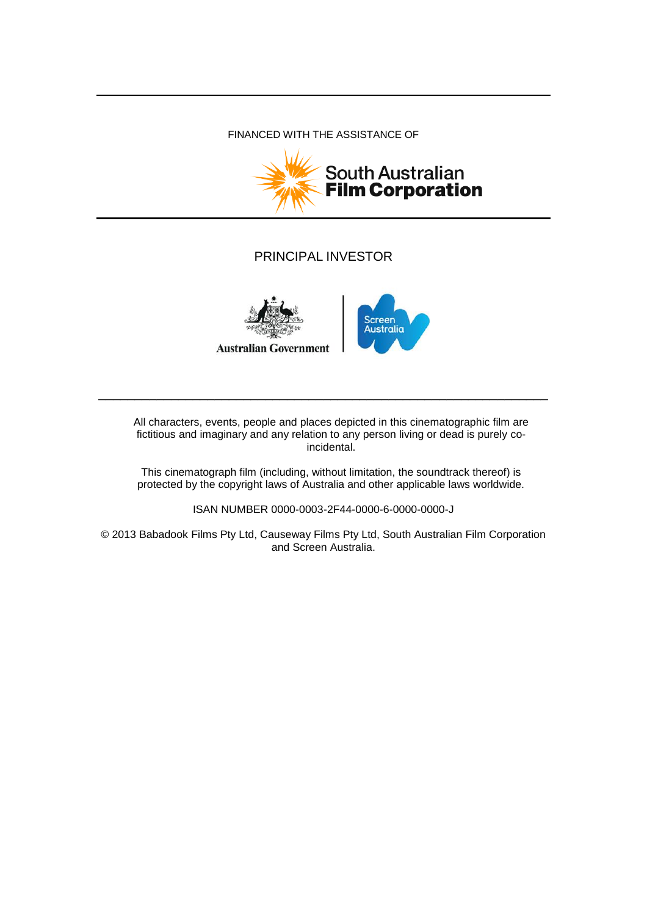#### FINANCED WITH THE ASSISTANCE OF



# PRINCIPAL INVESTOR





All characters, events, people and places depicted in this cinematographic film are fictitious and imaginary and any relation to any person living or dead is purely coincidental.

\_\_\_\_\_\_\_\_\_\_\_\_\_\_\_\_\_\_\_\_\_\_\_\_\_\_\_\_\_\_\_\_\_\_\_\_\_\_\_\_\_\_\_\_\_\_\_\_\_\_\_\_\_\_\_\_\_\_\_\_\_\_

This cinematograph film (including, without limitation, the soundtrack thereof) is protected by the copyright laws of Australia and other applicable laws worldwide.

ISAN NUMBER 0000-0003-2F44-0000-6-0000-0000-J

© 2013 Babadook Films Pty Ltd, Causeway Films Pty Ltd, South Australian Film Corporation and Screen Australia.